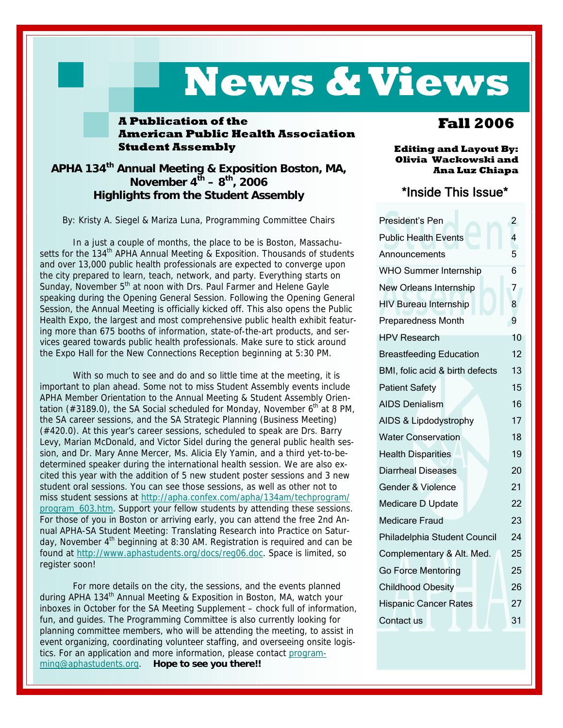## **News & Views**

#### **A Publication of the American Public Health Association Student Assembly**

#### **APHA 134th Annual Meeting & Exposition Boston, MA, November**  $4^{th} - 8^{th}$ **, 2006 Highlights from the Student Assembly**

By: Kristy A. Siegel & Mariza Luna, Programming Committee Chairs

 In a just a couple of months, the place to be is Boston, Massachusetts for the 134<sup>th</sup> APHA Annual Meeting & Exposition. Thousands of students and over 13,000 public health professionals are expected to converge upon the city prepared to learn, teach, network, and party. Everything starts on Sunday, November  $5<sup>th</sup>$  at noon with Drs. Paul Farmer and Helene Gayle speaking during the Opening General Session. Following the Opening General Session, the Annual Meeting is officially kicked off. This also opens the Public Health Expo, the largest and most comprehensive public health exhibit featuring more than 675 booths of information, state-of-the-art products, and services geared towards public health professionals. Make sure to stick around the Expo Hall for the New Connections Reception beginning at 5:30 PM.

With so much to see and do and so little time at the meeting, it is important to plan ahead. Some not to miss Student Assembly events include APHA Member Orientation to the Annual Meeting & Student Assembly Orientation (#3189.0), the SA Social scheduled for Monday, November  $6<sup>th</sup>$  at 8 PM, the SA career sessions, and the SA Strategic Planning (Business Meeting) (#420.0). At this year's career sessions, scheduled to speak are Drs. Barry Levy, Marian McDonald, and Victor Sidel during the general public health session, and Dr. Mary Anne Mercer, Ms. Alicia Ely Yamin, and a third yet-to-bedetermined speaker during the international health session. We are also excited this year with the addition of 5 new student poster sessions and 3 new student oral sessions. You can see those sessions, as well as other not to miss student sessions at http://apha.confex.com/apha/134am/techprogram/ program\_603.htm. Support your fellow students by attending these sessions. For those of you in Boston or arriving early, you can attend the free 2nd Annual APHA-SA Student Meeting: Translating Research into Practice on Saturday, November  $4<sup>th</sup>$  beginning at 8:30 AM. Registration is required and can be found at http://www.aphastudents.org/docs/reg06.doc. Space is limited, so register soon!

 For more details on the city, the sessions, and the events planned during APHA 134<sup>th</sup> Annual Meeting & Exposition in Boston, MA, watch your inboxes in October for the SA Meeting Supplement – chock full of information, fun, and guides. The Programming Committee is also currently looking for planning committee members, who will be attending the meeting, to assist in event organizing, coordinating volunteer staffing, and overseeing onsite logistics. For an application and more information, please contact programming@aphastudents.org. **Hope to see you there!!** 

#### **Fall 2006**

**Editing and Layout By: Olivia Wackowski and Ana Luz Chiapa** 

#### \*Inside This Issue\*

| President's Pen                 | $\overline{c}$ |
|---------------------------------|----------------|
| <b>Public Health Events</b>     | 4              |
| Announcements                   | 5              |
| <b>WHO Summer Internship</b>    | 6              |
| New Orleans Internship          | 7              |
| <b>HIV Bureau Internship</b>    | 8              |
| Preparedness Month              | 9              |
| <b>HPV Research</b>             | 10             |
| <b>Breastfeeding Education</b>  | 12             |
| BMI, folic acid & birth defects | 13             |
| <b>Patient Safety</b>           | 15             |
| <b>AIDS Denialism</b>           | 16             |
| AIDS & Lipdodystrophy           | 17             |
| <b>Water Conservation</b>       | 18             |
| <b>Health Disparities</b>       | 19             |
| <b>Diarrheal Diseases</b>       | 20             |
| Gender & Violence               | 21             |
| Medicare D Update               | 22             |
| <b>Medicare Fraud</b>           | 23             |
| Philadelphia Student Council    | 24             |
| Complementary & Alt. Med.       | 25             |
| Go Force Mentoring              | 25             |
| <b>Childhood Obesity</b>        | 26             |
| <b>Hispanic Cancer Rates</b>    | 27             |
| Contact us                      | 31             |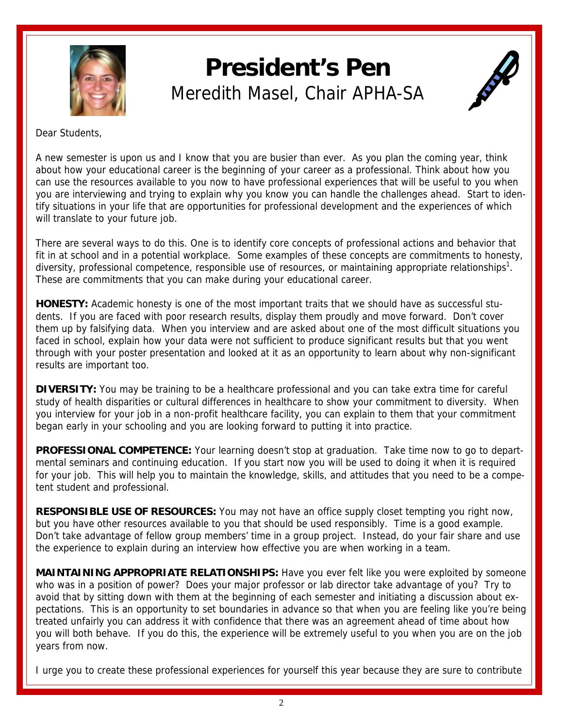<span id="page-1-0"></span>

## **President's Pen**  Meredith Masel, Chair APHA-SA



Dear Students,

A new semester is upon us and I know that you are busier than ever. As you plan the coming year, think about how your educational career is the beginning of your career as a professional. Think about how you can use the resources available to you now to have professional experiences that will be useful to you when you are interviewing and trying to explain why you know you can handle the challenges ahead. Start to identify situations in your life that are opportunities for professional development and the experiences of which will translate to your future job.

There are several ways to do this. One is to identify core concepts of professional actions and behavior that fit in at school and in a potential workplace. Some examples of these concepts are commitments to honesty, diversity, professional competence, responsible use of resources, or maintaining appropriate relationships<sup>1</sup>. These are commitments that you can make during your educational career.

**HONESTY:** Academic honesty is one of the most important traits that we should have as successful students. If you are faced with poor research results, display them proudly and move forward. Don't cover them up by falsifying data. When you interview and are asked about one of the most difficult situations you faced in school, explain how your data were not sufficient to produce significant results but that you went through with your poster presentation and looked at it as an opportunity to learn about why non-significant results are important too.

**DIVERSITY:** You may be training to be a healthcare professional and you can take extra time for careful study of health disparities or cultural differences in healthcare to show your commitment to diversity. When you interview for your job in a non-profit healthcare facility, you can explain to them that your commitment began early in your schooling and you are looking forward to putting it into practice.

**PROFESSIONAL COMPETENCE:** Your learning doesn't stop at graduation. Take time now to go to departmental seminars and continuing education. If you start now you will be used to doing it when it is required for your job. This will help you to maintain the knowledge, skills, and attitudes that you need to be a competent student and professional.

**RESPONSIBLE USE OF RESOURCES:** You may not have an office supply closet tempting you right now, but you have other resources available to you that should be used responsibly. Time is a good example. Don't take advantage of fellow group members' time in a group project. Instead, do your fair share and use the experience to explain during an interview how effective you are when working in a team.

**MAINTAINING APPROPRIATE RELATIONSHIPS:** Have you ever felt like you were exploited by someone who was in a position of power? Does your major professor or lab director take advantage of you? Try to avoid that by sitting down with them at the beginning of each semester and initiating a discussion about expectations. This is an opportunity to set boundaries in advance so that when you are feeling like you're being treated unfairly you can address it with confidence that there was an agreement ahead of time about how you will both behave. If you do this, the experience will be extremely useful to you when you are on the job years from now.

I urge you to create these professional experiences for yourself this year because they are sure to contribute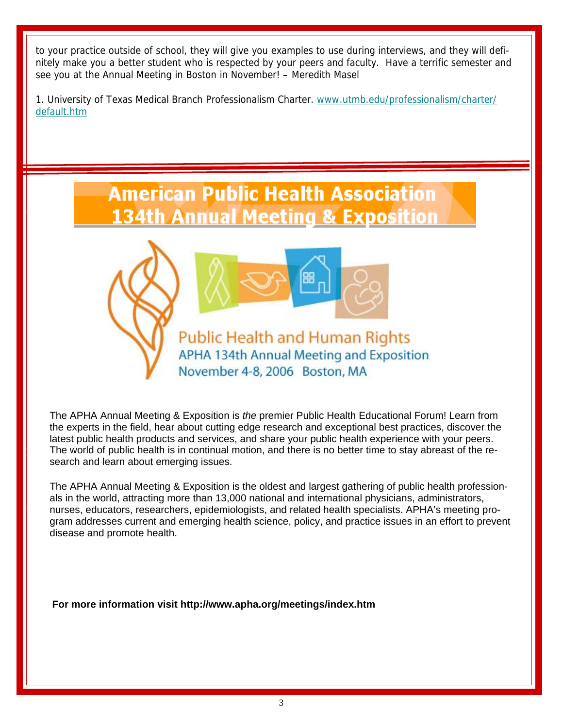to your practice outside of school, they will give you examples to use during interviews, and they will definitely make you a better student who is respected by your peers and faculty. Have a terrific semester and see you at the Annual Meeting in Boston in November! – Meredith Masel

1. University of Texas Medical Branch Professionalism Charter. www.utmb.edu/professionalism/charter/ default.htm





APHA 134th Annual Meeting and Exposition November 4-8, 2006 Boston, MA

The APHA Annual Meeting & Exposition is *the* premier Public Health Educational Forum! Learn from the experts in the field, hear about cutting edge research and exceptional best practices, discover the latest public health products and services, and share your public health experience with your peers. The world of public health is in continual motion, and there is no better time to stay abreast of the research and learn about emerging issues.

The APHA Annual Meeting & Exposition is the oldest and largest gathering of public health professionals in the world, attracting more than 13,000 national and international physicians, administrators, nurses, educators, researchers, epidemiologists, and related health specialists. APHA's meeting program addresses current and emerging health science, policy, and practice issues in an effort to prevent disease and promote health.

**For more information visit http://www.apha.org/meetings/index.htm**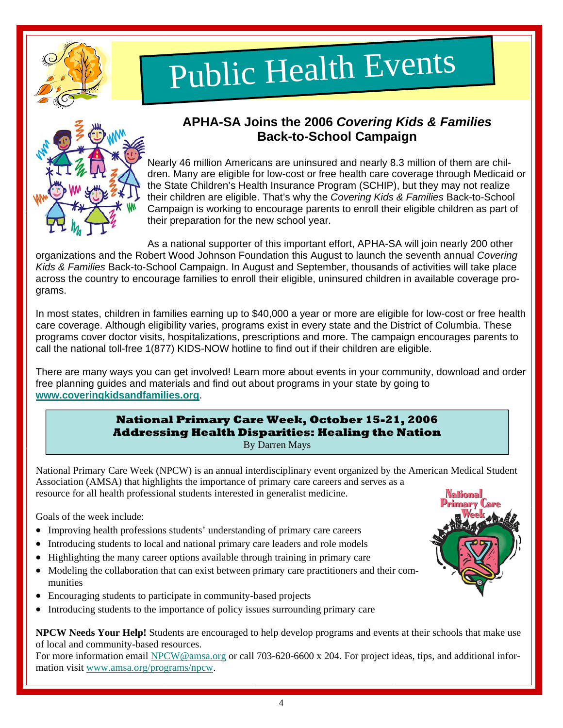<span id="page-3-0"></span>

# Public Health Events



#### **APHA-SA Joins the 2006** *Covering Kids & Families* **Back-to-School Campaign**

Nearly 46 million Americans are uninsured and nearly 8.3 million of them are children. Many are eligible for low-cost or free health care coverage through Medicaid or the State Children's Health Insurance Program (SCHIP), but they may not realize their children are eligible. That's why the *Covering Kids & Families* Back-to-School Campaign is working to encourage parents to enroll their eligible children as part of their preparation for the new school year.

As a national supporter of this important effort, APHA-SA will join nearly 200 other organizations and the Robert Wood Johnson Foundation this August to launch the seventh annual *Covering Kids & Families* Back-to-School Campaign. In August and September, thousands of activities will take place across the country to encourage families to enroll their eligible, uninsured children in available coverage programs.

In most states, children in families earning up to \$40,000 a year or more are eligible for low-cost or free health care coverage. Although eligibility varies, programs exist in every state and the District of Columbia. These programs cover doctor visits, hospitalizations, prescriptions and more. The campaign encourages parents to call the national toll-free 1(877) KIDS-NOW hotline to find out if their children are eligible.

There are many ways you can get involved! Learn more about events in your community, download and order free planning guides and materials and find out about programs in your state by going to **www.coveringkidsandfamilies.org**.

#### **National Primary Care Week, October 15-21, 2006 Addressing Health Disparities: Healing the Nation**  By Darren Mays

National Primary Care Week (NPCW) is an annual interdisciplinary event organized by the American Medical Student Association (AMSA) that highlights the importance of primary care careers and serves as a resource for all health professional students interested in generalist medicine.

Goals of the week include:

- Improving health professions students' understanding of primary care careers
- Introducing students to local and national primary care leaders and role models
- Highlighting the many career options available through training in primary care
- Modeling the collaboration that can exist between primary care practitioners and their communities
- Encouraging students to participate in community-based projects
- Introducing students to the importance of policy issues surrounding primary care

**NPCW Needs Your Help!** Students are encouraged to help develop programs and events at their schools that make use of local and community-based resources.

For more information email NPCW@amsa.org or call 703-620-6600 x 204. For project ideas, tips, and additional information visit www.amsa.org/programs/npcw.

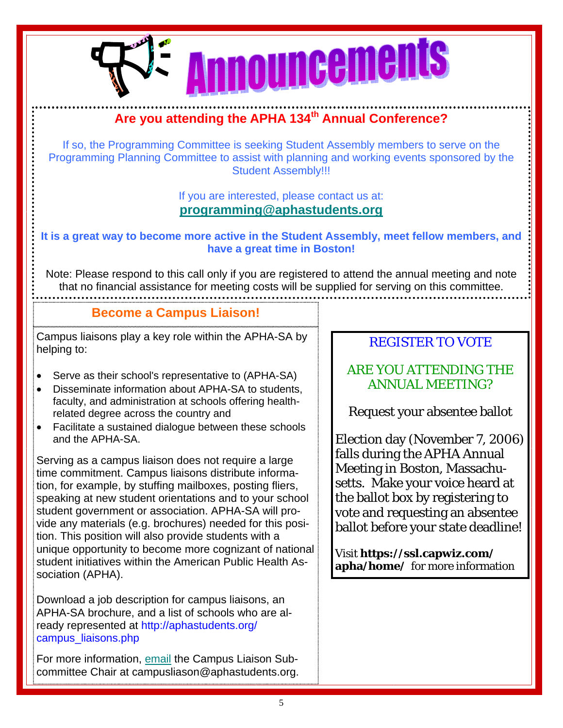<span id="page-4-0"></span>

#### **Are you attending the APHA 134th Annual Conference?**

If so, the Programming Committee is seeking Student Assembly members to serve on the Programming Planning Committee to assist with planning and working events sponsored by the Student Assembly!!!

> If you are interested, please contact us at: **programming@aphastudents.org**

**It is a great way to become more active in the Student Assembly, meet fellow members, and have a great time in Boston!** 

Note: Please respond to this call only if you are registered to attend the annual meeting and note that no financial assistance for meeting costs will be supplied for serving on this committee.

#### **Become a Campus Liaison!**

Campus liaisons play a key role within the APHA-SA by helping to:

- Serve as their school's representative to (APHA-SA)
- Disseminate information about APHA-SA to students, faculty, and administration at schools offering healthrelated degree across the country and
- Facilitate a sustained dialogue between these schools and the APHA-SA.

Serving as a campus liaison does not require a large time commitment. Campus liaisons distribute information, for example, by stuffing mailboxes, posting fliers, speaking at new student orientations and to your school student government or association. APHA-SA will provide any materials (e.g. brochures) needed for this position. This position will also provide students with a unique opportunity to become more cognizant of national student initiatives within the American Public Health Association (APHA).

Download a job description for campus liaisons, an APHA-SA brochure, and a list of schools who are already represented at http://aphastudents.org/ campus\_liaisons.php

For more information, email the Campus Liaison Subcommittee Chair at campusliason@aphastudents.org.

#### REGISTER TO VOTE

#### ARE YOU ATTENDING THE ANNUAL MEETING?

Request your absentee ballot

Election day (November 7, 2006) falls during the APHA Annual Meeting in Boston, Massachusetts. Make your voice heard at the ballot box by registering to vote and requesting an absentee ballot before your state deadline!

Visit **https://ssl.capwiz.com/ apha/home/** for more information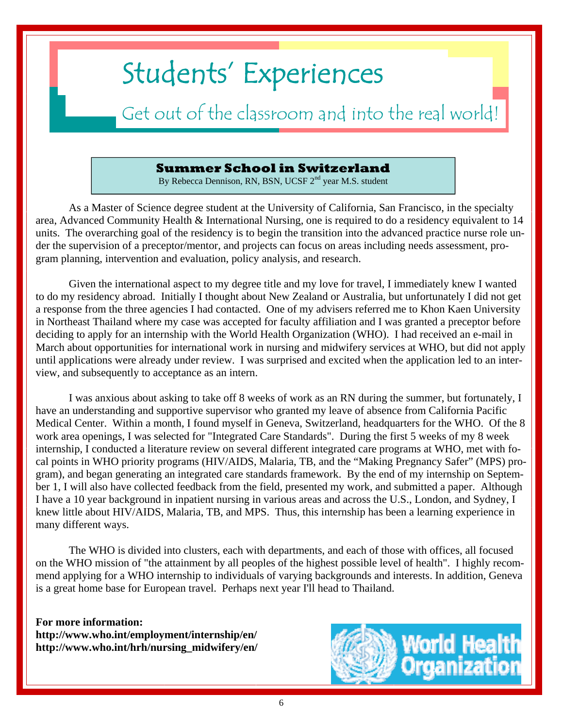## <span id="page-5-0"></span>Students' Experiences

### Get out of the classroom and into the real world!

#### **Summer School in Switzerland**

By Rebecca Dennison, RN, BSN, UCSF 2<sup>nd</sup> year M.S. student

 As a Master of Science degree student at the University of California, San Francisco, in the specialty area, Advanced Community Health & International Nursing, one is required to do a residency equivalent to 14 units. The overarching goal of the residency is to begin the transition into the advanced practice nurse role under the supervision of a preceptor/mentor, and projects can focus on areas including needs assessment, program planning, intervention and evaluation, policy analysis, and research.

 Given the international aspect to my degree title and my love for travel, I immediately knew I wanted to do my residency abroad. Initially I thought about New Zealand or Australia, but unfortunately I did not get a response from the three agencies I had contacted. One of my advisers referred me to Khon Kaen University in Northeast Thailand where my case was accepted for faculty affiliation and I was granted a preceptor before deciding to apply for an internship with the World Health Organization (WHO). I had received an e-mail in March about opportunities for international work in nursing and midwifery services at WHO, but did not apply until applications were already under review. I was surprised and excited when the application led to an interview, and subsequently to acceptance as an intern.

 I was anxious about asking to take off 8 weeks of work as an RN during the summer, but fortunately, I have an understanding and supportive supervisor who granted my leave of absence from California Pacific Medical Center. Within a month, I found myself in Geneva, Switzerland, headquarters for the WHO. Of the 8 work area openings, I was selected for "Integrated Care Standards". During the first 5 weeks of my 8 week internship, I conducted a literature review on several different integrated care programs at WHO, met with focal points in WHO priority programs (HIV/AIDS, Malaria, TB, and the "Making Pregnancy Safer" (MPS) program), and began generating an integrated care standards framework. By the end of my internship on September 1, I will also have collected feedback from the field, presented my work, and submitted a paper. Although I have a 10 year background in inpatient nursing in various areas and across the U.S., London, and Sydney, I knew little about HIV/AIDS, Malaria, TB, and MPS. Thus, this internship has been a learning experience in many different ways.

 The WHO is divided into clusters, each with departments, and each of those with offices, all focused on the WHO mission of "the attainment by all peoples of the highest possible level of health". I highly recommend applying for a WHO internship to individuals of varying backgrounds and interests. In addition, Geneva is a great home base for European travel. Perhaps next year I'll head to Thailand.

**For more information: http://www.who.int/employment/internship/en/ http://www.who.int/hrh/nursing\_midwifery/en/** 

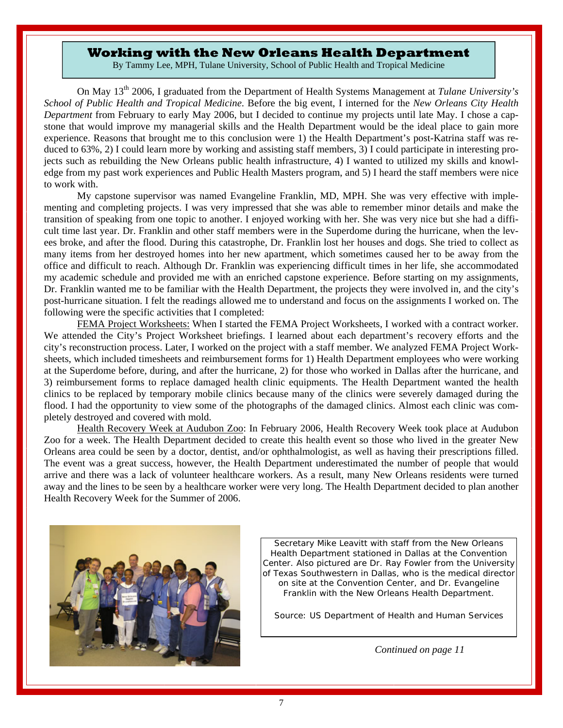#### **Working with the New Orleans Health Department**

By Tammy Lee, MPH, Tulane University, School of Public Health and Tropical Medicine

<span id="page-6-0"></span> On May 13th 2006, I graduated from the Department of Health Systems Management at *Tulane University's School of Public Health and Tropical Medicine*. Before the big event, I interned for the *New Orleans City Health Department* from February to early May 2006, but I decided to continue my projects until late May. I chose a capstone that would improve my managerial skills and the Health Department would be the ideal place to gain more experience. Reasons that brought me to this conclusion were 1) the Health Department's post-Katrina staff was reduced to 63%, 2) I could learn more by working and assisting staff members, 3) I could participate in interesting projects such as rebuilding the New Orleans public health infrastructure, 4) I wanted to utilized my skills and knowledge from my past work experiences and Public Health Masters program, and 5) I heard the staff members were nice to work with.

My capstone supervisor was named Evangeline Franklin, MD, MPH. She was very effective with implementing and completing projects. I was very impressed that she was able to remember minor details and make the transition of speaking from one topic to another. I enjoyed working with her. She was very nice but she had a difficult time last year. Dr. Franklin and other staff members were in the Superdome during the hurricane, when the levees broke, and after the flood. During this catastrophe, Dr. Franklin lost her houses and dogs. She tried to collect as many items from her destroyed homes into her new apartment, which sometimes caused her to be away from the office and difficult to reach. Although Dr. Franklin was experiencing difficult times in her life, she accommodated my academic schedule and provided me with an enriched capstone experience. Before starting on my assignments, Dr. Franklin wanted me to be familiar with the Health Department, the projects they were involved in, and the city's post-hurricane situation. I felt the readings allowed me to understand and focus on the assignments I worked on. The following were the specific activities that I completed:

FEMA Project Worksheets: When I started the FEMA Project Worksheets, I worked with a contract worker. We attended the City's Project Worksheet briefings. I learned about each department's recovery efforts and the city's reconstruction process. Later, I worked on the project with a staff member. We analyzed FEMA Project Worksheets, which included timesheets and reimbursement forms for 1) Health Department employees who were working at the Superdome before, during, and after the hurricane, 2) for those who worked in Dallas after the hurricane, and 3) reimbursement forms to replace damaged health clinic equipments. The Health Department wanted the health clinics to be replaced by temporary mobile clinics because many of the clinics were severely damaged during the flood. I had the opportunity to view some of the photographs of the damaged clinics. Almost each clinic was completely destroyed and covered with mold.

Health Recovery Week at Audubon Zoo: In February 2006, Health Recovery Week took place at Audubon Zoo for a week. The Health Department decided to create this health event so those who lived in the greater New Orleans area could be seen by a doctor, dentist, and/or ophthalmologist, as well as having their prescriptions filled. The event was a great success, however, the Health Department underestimated the number of people that would arrive and there was a lack of volunteer healthcare workers. As a result, many New Orleans residents were turned away and the lines to be seen by a healthcare worker were very long. The Health Department decided to plan another Health Recovery Week for the Summer of 2006.



Secretary Mike Leavitt with staff from the New Orleans Health Department stationed in Dallas at the Convention Center. Also pictured are Dr. Ray Fowler from the University of Texas Southwestern in Dallas, who is the medical director on site at the Convention Center, and Dr. Evangeline Franklin with the New Orleans Health Department.

Source: US Department of Health and Human Services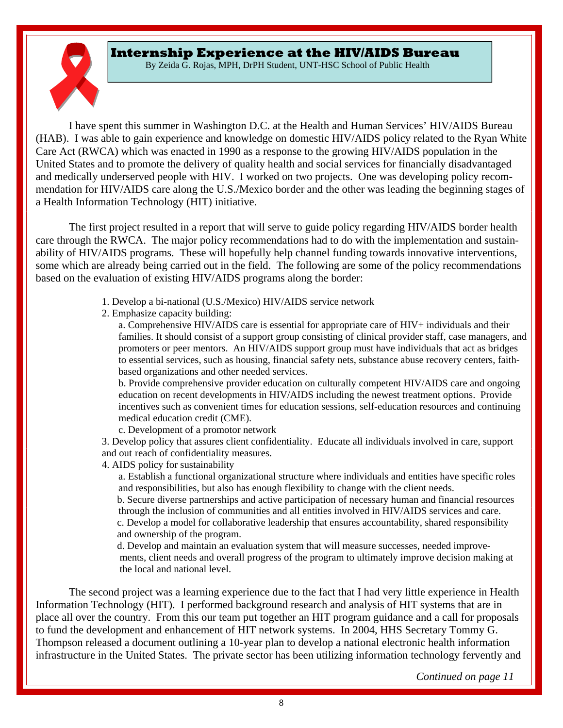#### <span id="page-7-0"></span>**Internship Experience at the HIV/AIDS Bureau**

By Zeida G. Rojas, MPH, DrPH Student, UNT-HSC School of Public Health

 I have spent this summer in Washington D.C. at the Health and Human Services' HIV/AIDS Bureau (HAB). I was able to gain experience and knowledge on domestic HIV/AIDS policy related to the Ryan White Care Act (RWCA) which was enacted in 1990 as a response to the growing HIV/AIDS population in the United States and to promote the delivery of quality health and social services for financially disadvantaged and medically underserved people with HIV. I worked on two projects. One was developing policy recommendation for HIV/AIDS care along the U.S./Mexico border and the other was leading the beginning stages of a Health Information Technology (HIT) initiative.

 The first project resulted in a report that will serve to guide policy regarding HIV/AIDS border health care through the RWCA. The major policy recommendations had to do with the implementation and sustainability of HIV/AIDS programs. These will hopefully help channel funding towards innovative interventions, some which are already being carried out in the field. The following are some of the policy recommendations based on the evaluation of existing HIV/AIDS programs along the border:

- 1. Develop a bi-national (U.S./Mexico) HIV/AIDS service network
- 2. Emphasize capacity building:

a. Comprehensive HIV/AIDS care is essential for appropriate care of HIV+ individuals and their families. It should consist of a support group consisting of clinical provider staff, case managers, and promoters or peer mentors. An HIV/AIDS support group must have individuals that act as bridges to essential services, such as housing, financial safety nets, substance abuse recovery centers, faithbased organizations and other needed services.

b. Provide comprehensive provider education on culturally competent HIV/AIDS care and ongoing education on recent developments in HIV/AIDS including the newest treatment options. Provide incentives such as convenient times for education sessions, self-education resources and continuing medical education credit (CME).

c. Development of a promotor network

 3. Develop policy that assures client confidentiality. Educate all individuals involved in care, support and out reach of confidentiality measures.

4. AIDS policy for sustainability

a. Establish a functional organizational structure where individuals and entities have specific roles and responsibilities, but also has enough flexibility to change with the client needs.

 b. Secure diverse partnerships and active participation of necessary human and financial resources through the inclusion of communities and all entities involved in HIV/AIDS services and care.

 c. Develop a model for collaborative leadership that ensures accountability, shared responsibility and ownership of the program.

 d. Develop and maintain an evaluation system that will measure successes, needed improve ments, client needs and overall progress of the program to ultimately improve decision making at the local and national level.

 The second project was a learning experience due to the fact that I had very little experience in Health Information Technology (HIT). I performed background research and analysis of HIT systems that are in place all over the country. From this our team put together an HIT program guidance and a call for proposals to fund the development and enhancement of HIT network systems. In 2004, HHS Secretary Tommy G. Thompson released a document outlining a 10-year plan to develop a national electronic health information infrastructure in the United States. The private sector has been utilizing information technology fervently and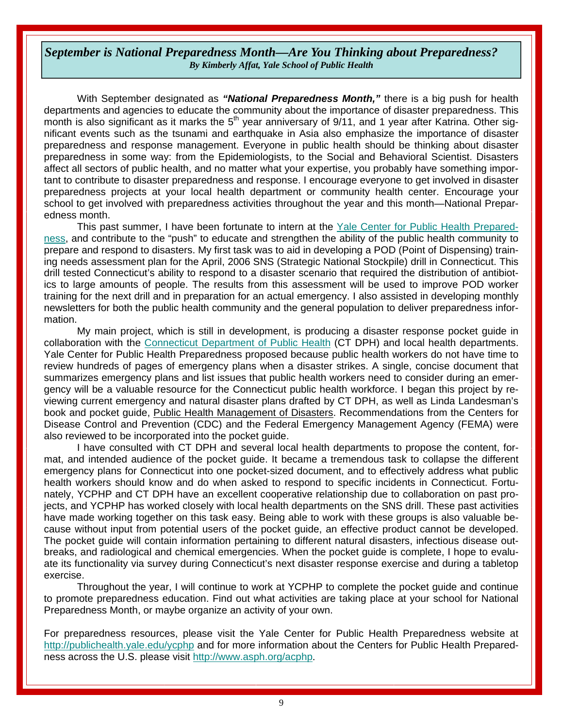#### <span id="page-8-0"></span>*September is National Preparedness Month—Are You Thinking about Preparedness? By Kimberly Affat, Yale School of Public Health*

 With September designated as *"National Preparedness Month,"* there is a big push for health departments and agencies to educate the community about the importance of disaster preparedness. This month is also significant as it marks the 5<sup>th</sup> year anniversary of 9/11, and 1 year after Katrina. Other significant events such as the tsunami and earthquake in Asia also emphasize the importance of disaster preparedness and response management. Everyone in public health should be thinking about disaster preparedness in some way: from the Epidemiologists, to the Social and Behavioral Scientist. Disasters affect all sectors of public health, and no matter what your expertise, you probably have something important to contribute to disaster preparedness and response. I encourage everyone to get involved in disaster preparedness projects at your local health department or community health center. Encourage your school to get involved with preparedness activities throughout the year and this month—National Preparedness month.

 This past summer, I have been fortunate to intern at the Yale Center for Public Health Preparedness, and contribute to the "push" to educate and strengthen the ability of the public health community to prepare and respond to disasters. My first task was to aid in developing a POD (Point of Dispensing) training needs assessment plan for the April, 2006 SNS (Strategic National Stockpile) drill in Connecticut. This drill tested Connecticut's ability to respond to a disaster scenario that required the distribution of antibiotics to large amounts of people. The results from this assessment will be used to improve POD worker training for the next drill and in preparation for an actual emergency. I also assisted in developing monthly newsletters for both the public health community and the general population to deliver preparedness information.

 My main project, which is still in development, is producing a disaster response pocket guide in collaboration with the Connecticut Department of Public Health (CT DPH) and local health departments. Yale Center for Public Health Preparedness proposed because public health workers do not have time to review hundreds of pages of emergency plans when a disaster strikes. A single, concise document that summarizes emergency plans and list issues that public health workers need to consider during an emergency will be a valuable resource for the Connecticut public health workforce. I began this project by reviewing current emergency and natural disaster plans drafted by CT DPH, as well as Linda Landesman's book and pocket guide, Public Health Management of Disasters. Recommendations from the Centers for Disease Control and Prevention (CDC) and the Federal Emergency Management Agency (FEMA) were also reviewed to be incorporated into the pocket guide.

 I have consulted with CT DPH and several local health departments to propose the content, format, and intended audience of the pocket guide. It became a tremendous task to collapse the different emergency plans for Connecticut into one pocket-sized document, and to effectively address what public health workers should know and do when asked to respond to specific incidents in Connecticut. Fortunately, YCPHP and CT DPH have an excellent cooperative relationship due to collaboration on past projects, and YCPHP has worked closely with local health departments on the SNS drill. These past activities have made working together on this task easy. Being able to work with these groups is also valuable because without input from potential users of the pocket guide, an effective product cannot be developed. The pocket guide will contain information pertaining to different natural disasters, infectious disease outbreaks, and radiological and chemical emergencies. When the pocket guide is complete, I hope to evaluate its functionality via survey during Connecticut's next disaster response exercise and during a tabletop exercise.

 Throughout the year, I will continue to work at YCPHP to complete the pocket guide and continue to promote preparedness education. Find out what activities are taking place at your school for National Preparedness Month, or maybe organize an activity of your own.

For preparedness resources, please visit the Yale Center for Public Health Preparedness website at http://publichealth.yale.edu/ycphp and for more information about the Centers for Public Health Preparedness across the U.S. please visit http://www.asph.org/acphp.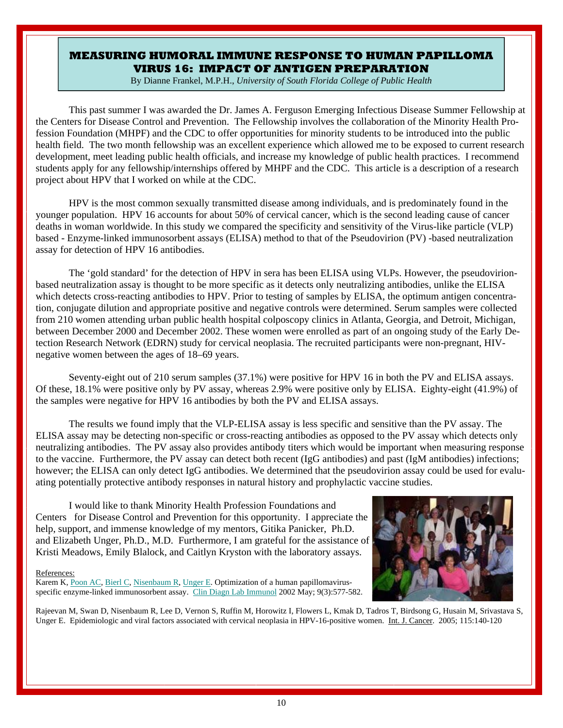#### <span id="page-9-0"></span>**MEASURING HUMORAL IMMUNE RESPONSE TO HUMAN PAPILLOMA VIRUS 16: IMPACT OF ANTIGEN PREPARATION**

By Dianne Frankel, M.P.H., *University of South Florida College of Public Health*

This past summer I was awarded the Dr. James A. Ferguson Emerging Infectious Disease Summer Fellowship at the Centers for Disease Control and Prevention. The Fellowship involves the collaboration of the Minority Health Profession Foundation (MHPF) and the CDC to offer opportunities for minority students to be introduced into the public health field. The two month fellowship was an excellent experience which allowed me to be exposed to current research development, meet leading public health officials, and increase my knowledge of public health practices. I recommend students apply for any fellowship/internships offered by MHPF and the CDC. This article is a description of a research project about HPV that I worked on while at the CDC.

 HPV is the most common sexually transmitted disease among individuals, and is predominately found in the younger population. HPV 16 accounts for about 50% of cervical cancer, which is the second leading cause of cancer deaths in woman worldwide. In this study we compared the specificity and sensitivity of the Virus-like particle (VLP) based - Enzyme-linked immunosorbent assays (ELISA) method to that of the Pseudovirion (PV) -based neutralization assay for detection of HPV 16 antibodies.

 The 'gold standard' for the detection of HPV in sera has been ELISA using VLPs. However, the pseudovirionbased neutralization assay is thought to be more specific as it detects only neutralizing antibodies, unlike the ELISA which detects cross-reacting antibodies to HPV. Prior to testing of samples by ELISA, the optimum antigen concentration, conjugate dilution and appropriate positive and negative controls were determined. Serum samples were collected from 210 women attending urban public health hospital colposcopy clinics in Atlanta, Georgia, and Detroit, Michigan, between December 2000 and December 2002. These women were enrolled as part of an ongoing study of the Early Detection Research Network (EDRN) study for cervical neoplasia. The recruited participants were non-pregnant, HIVnegative women between the ages of 18–69 years.

 Seventy-eight out of 210 serum samples (37.1%) were positive for HPV 16 in both the PV and ELISA assays. Of these, 18.1% were positive only by PV assay, whereas 2.9% were positive only by ELISA. Eighty-eight (41.9%) of the samples were negative for HPV 16 antibodies by both the PV and ELISA assays.

 The results we found imply that the VLP-ELISA assay is less specific and sensitive than the PV assay. The ELISA assay may be detecting non-specific or cross-reacting antibodies as opposed to the PV assay which detects only neutralizing antibodies. The PV assay also provides antibody titers which would be important when measuring response to the vaccine. Furthermore, the PV assay can detect both recent (IgG antibodies) and past (IgM antibodies) infections; however; the ELISA can only detect IgG antibodies. We determined that the pseudovirion assay could be used for evaluating potentially protective antibody responses in natural history and prophylactic vaccine studies.

 I would like to thank Minority Health Profession Foundations and Centers for Disease Control and Prevention for this opportunity. I appreciate the help, support, and immense knowledge of my mentors, Gitika Panicker, Ph.D. and Elizabeth Unger, Ph.D., M.D. Furthermore, I am grateful for the assistance of Kristi Meadows, Emily Blalock, and Caitlyn Kryston with the laboratory assays.

#### References:

Karem K, Poon AC, Bierl C, Nisenbaum R, Unger E. Optimization of a human papillomavirusspecific enzyme-linked immunosorbent assay. Clin Diagn Lab Immunol 2002 May; 9(3):577-582.



Rajeevan M, Swan D, Nisenbaum R, Lee D, Vernon S, Ruffin M, Horowitz I, Flowers L, Kmak D, Tadros T, Birdsong G, Husain M, Srivastava S, Unger E. Epidemiologic and viral factors associated with cervical neoplasia in HPV-16-positive women. Int. J. Cancer. 2005; 115:140-120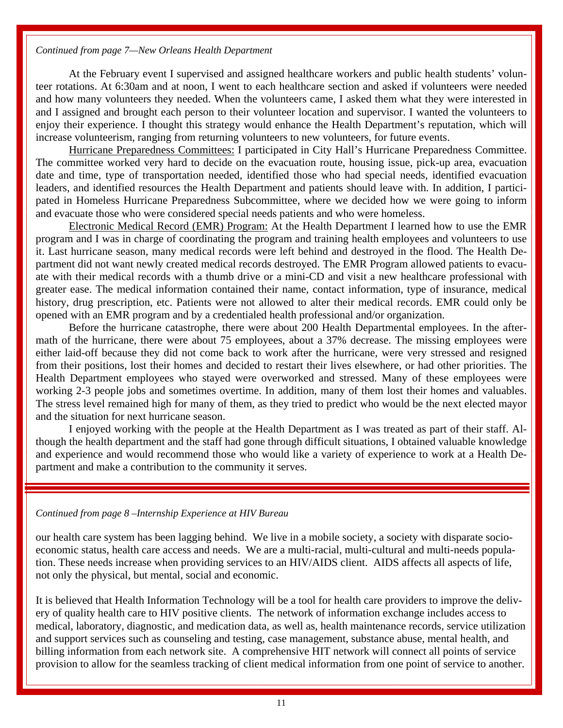#### *Continued from page 7—New Orleans Health Department*

At the February event I supervised and assigned healthcare workers and public health students' volunteer rotations. At 6:30am and at noon, I went to each healthcare section and asked if volunteers were needed and how many volunteers they needed. When the volunteers came, I asked them what they were interested in and I assigned and brought each person to their volunteer location and supervisor. I wanted the volunteers to enjoy their experience. I thought this strategy would enhance the Health Department's reputation, which will increase volunteerism, ranging from returning volunteers to new volunteers, for future events.

Hurricane Preparedness Committees: I participated in City Hall's Hurricane Preparedness Committee. The committee worked very hard to decide on the evacuation route, housing issue, pick-up area, evacuation date and time, type of transportation needed, identified those who had special needs, identified evacuation leaders, and identified resources the Health Department and patients should leave with. In addition, I participated in Homeless Hurricane Preparedness Subcommittee, where we decided how we were going to inform and evacuate those who were considered special needs patients and who were homeless.

Electronic Medical Record (EMR) Program: At the Health Department I learned how to use the EMR program and I was in charge of coordinating the program and training health employees and volunteers to use it. Last hurricane season, many medical records were left behind and destroyed in the flood. The Health Department did not want newly created medical records destroyed. The EMR Program allowed patients to evacuate with their medical records with a thumb drive or a mini-CD and visit a new healthcare professional with greater ease. The medical information contained their name, contact information, type of insurance, medical history, drug prescription, etc. Patients were not allowed to alter their medical records. EMR could only be opened with an EMR program and by a credentialed health professional and/or organization.

Before the hurricane catastrophe, there were about 200 Health Departmental employees. In the aftermath of the hurricane, there were about 75 employees, about a 37% decrease. The missing employees were either laid-off because they did not come back to work after the hurricane, were very stressed and resigned from their positions, lost their homes and decided to restart their lives elsewhere, or had other priorities. The Health Department employees who stayed were overworked and stressed. Many of these employees were working 2-3 people jobs and sometimes overtime. In addition, many of them lost their homes and valuables. The stress level remained high for many of them, as they tried to predict who would be the next elected mayor and the situation for next hurricane season.

I enjoyed working with the people at the Health Department as I was treated as part of their staff. Although the health department and the staff had gone through difficult situations, I obtained valuable knowledge and experience and would recommend those who would like a variety of experience to work at a Health Department and make a contribution to the community it serves.

#### *Continued from page 8 –Internship Experience at HIV Bureau*

our health care system has been lagging behind. We live in a mobile society, a society with disparate socioeconomic status, health care access and needs. We are a multi-racial, multi-cultural and multi-needs population. These needs increase when providing services to an HIV/AIDS client. AIDS affects all aspects of life, not only the physical, but mental, social and economic.

It is believed that Health Information Technology will be a tool for health care providers to improve the delivery of quality health care to HIV positive clients. The network of information exchange includes access to medical, laboratory, diagnostic, and medication data, as well as, health maintenance records, service utilization and support services such as counseling and testing, case management, substance abuse, mental health, and billing information from each network site. A comprehensive HIT network will connect all points of service provision to allow for the seamless tracking of client medical information from one point of service to another.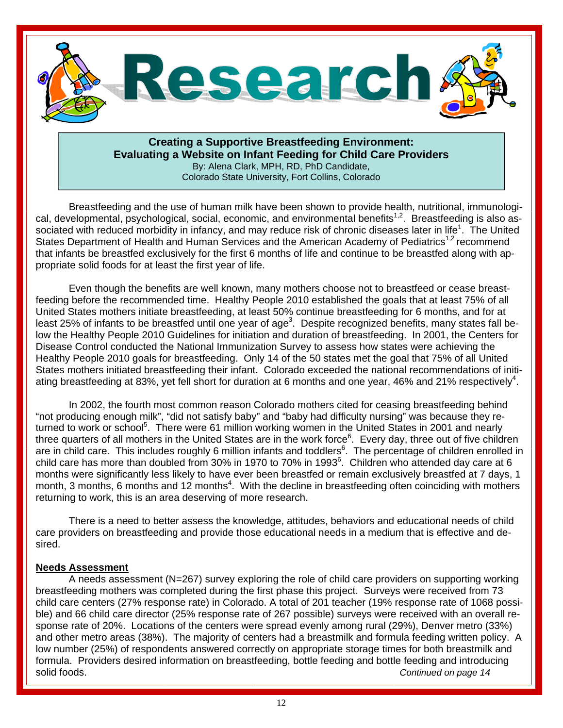<span id="page-11-0"></span>

#### **Creating a Supportive Breastfeeding Environment: Evaluating a Website on Infant Feeding for Child Care Providers**

By: Alena Clark, MPH, RD, PhD Candidate, Colorado State University, Fort Collins, Colorado

Breastfeeding and the use of human milk have been shown to provide health, nutritional, immunological, developmental, psychological, social, economic, and environmental benefits<sup>1,2</sup>. Breastfeeding is also associated with reduced morbidity in infancy, and may reduce risk of chronic diseases later in life<sup>1</sup>. The United States Department of Health and Human Services and the American Academy of Pediatrics<sup>1,2</sup> recommend that infants be breastfed exclusively for the first 6 months of life and continue to be breastfed along with appropriate solid foods for at least the first year of life.

 Even though the benefits are well known, many mothers choose not to breastfeed or cease breastfeeding before the recommended time. Healthy People 2010 established the goals that at least 75% of all United States mothers initiate breastfeeding, at least 50% continue breastfeeding for 6 months, and for at least 25% of infants to be breastfed until one year of age<sup>3</sup>. Despite recognized benefits, many states fall below the Healthy People 2010 Guidelines for initiation and duration of breastfeeding. In 2001, the Centers for Disease Control conducted the National Immunization Survey to assess how states were achieving the Healthy People 2010 goals for breastfeeding. Only 14 of the 50 states met the goal that 75% of all United States mothers initiated breastfeeding their infant. Colorado exceeded the national recommendations of initiating breastfeeding at 83%, yet fell short for duration at 6 months and one year, 46% and 21% respectively<sup>4</sup>.

 In 2002, the fourth most common reason Colorado mothers cited for ceasing breastfeeding behind "not producing enough milk", "did not satisfy baby" and "baby had difficulty nursing" was because they returned to work or school<sup>5</sup>. There were 61 million working women in the United States in 2001 and nearly three quarters of all mothers in the United States are in the work force<sup>6</sup>. Every day, three out of five children are in child care. This includes roughly 6 million infants and toddlers<sup>6</sup>. The percentage of children enrolled in child care has more than doubled from 30% in 1970 to 70% in 1993 $^6$ . Children who attended day care at 6 months were significantly less likely to have ever been breastfed or remain exclusively breastfed at 7 days, 1 month, 3 months, 6 months and 12 months<sup>4</sup>. With the decline in breastfeeding often coinciding with mothers returning to work, this is an area deserving of more research.

 There is a need to better assess the knowledge, attitudes, behaviors and educational needs of child care providers on breastfeeding and provide those educational needs in a medium that is effective and desired.

#### **Needs Assessment**

 A needs assessment (N=267) survey exploring the role of child care providers on supporting working breastfeeding mothers was completed during the first phase this project. Surveys were received from 73 child care centers (27% response rate) in Colorado. A total of 201 teacher (19% response rate of 1068 possible) and 66 child care director (25% response rate of 267 possible) surveys were received with an overall response rate of 20%. Locations of the centers were spread evenly among rural (29%), Denver metro (33%) and other metro areas (38%). The majority of centers had a breastmilk and formula feeding written policy. A low number (25%) of respondents answered correctly on appropriate storage times for both breastmilk and formula. Providers desired information on breastfeeding, bottle feeding and bottle feeding and introducing solid foods. *Continued on page 14*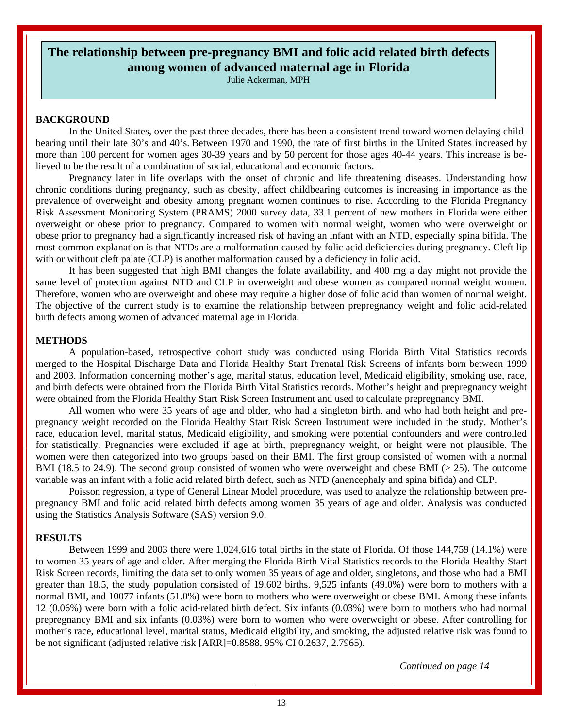#### <span id="page-12-0"></span>**The relationship between pre-pregnancy BMI and folic acid related birth defects among women of advanced maternal age in Florida**

Julie Ackerman, MPH

#### **BACKGROUND**

In the United States, over the past three decades, there has been a consistent trend toward women delaying childbearing until their late 30's and 40's. Between 1970 and 1990, the rate of first births in the United States increased by more than 100 percent for women ages 30-39 years and by 50 percent for those ages 40-44 years. This increase is believed to be the result of a combination of social, educational and economic factors.

Pregnancy later in life overlaps with the onset of chronic and life threatening diseases. Understanding how chronic conditions during pregnancy, such as obesity, affect childbearing outcomes is increasing in importance as the prevalence of overweight and obesity among pregnant women continues to rise. According to the Florida Pregnancy Risk Assessment Monitoring System (PRAMS) 2000 survey data, 33.1 percent of new mothers in Florida were either overweight or obese prior to pregnancy. Compared to women with normal weight, women who were overweight or obese prior to pregnancy had a significantly increased risk of having an infant with an NTD, especially spina bifida. The most common explanation is that NTDs are a malformation caused by folic acid deficiencies during pregnancy. Cleft lip with or without cleft palate (CLP) is another malformation caused by a deficiency in folic acid.

It has been suggested that high BMI changes the folate availability, and 400 mg a day might not provide the same level of protection against NTD and CLP in overweight and obese women as compared normal weight women. Therefore, women who are overweight and obese may require a higher dose of folic acid than women of normal weight. The objective of the current study is to examine the relationship between prepregnancy weight and folic acid-related birth defects among women of advanced maternal age in Florida.

#### **METHODS**

A population-based, retrospective cohort study was conducted using Florida Birth Vital Statistics records merged to the Hospital Discharge Data and Florida Healthy Start Prenatal Risk Screens of infants born between 1999 and 2003. Information concerning mother's age, marital status, education level, Medicaid eligibility, smoking use, race, and birth defects were obtained from the Florida Birth Vital Statistics records. Mother's height and prepregnancy weight were obtained from the Florida Healthy Start Risk Screen Instrument and used to calculate prepregnancy BMI.

All women who were 35 years of age and older, who had a singleton birth, and who had both height and prepregnancy weight recorded on the Florida Healthy Start Risk Screen Instrument were included in the study. Mother's race, education level, marital status, Medicaid eligibility, and smoking were potential confounders and were controlled for statistically. Pregnancies were excluded if age at birth, prepregnancy weight, or height were not plausible. The women were then categorized into two groups based on their BMI. The first group consisted of women with a normal BMI (18.5 to 24.9). The second group consisted of women who were overweight and obese BMI (> 25). The outcome variable was an infant with a folic acid related birth defect, such as NTD (anencephaly and spina bifida) and CLP.

Poisson regression, a type of General Linear Model procedure, was used to analyze the relationship between prepregnancy BMI and folic acid related birth defects among women 35 years of age and older. Analysis was conducted using the Statistics Analysis Software (SAS) version 9.0.

#### **RESULTS**

Between 1999 and 2003 there were 1,024,616 total births in the state of Florida. Of those 144,759 (14.1%) were to women 35 years of age and older. After merging the Florida Birth Vital Statistics records to the Florida Healthy Start Risk Screen records, limiting the data set to only women 35 years of age and older, singletons, and those who had a BMI greater than 18.5, the study population consisted of 19,602 births. 9,525 infants (49.0%) were born to mothers with a normal BMI, and 10077 infants (51.0%) were born to mothers who were overweight or obese BMI. Among these infants 12 (0.06%) were born with a folic acid-related birth defect. Six infants (0.03%) were born to mothers who had normal prepregnancy BMI and six infants (0.03%) were born to women who were overweight or obese. After controlling for mother's race, educational level, marital status, Medicaid eligibility, and smoking, the adjusted relative risk was found to be not significant (adjusted relative risk [ARR]=0.8588, 95% CI 0.2637, 2.7965).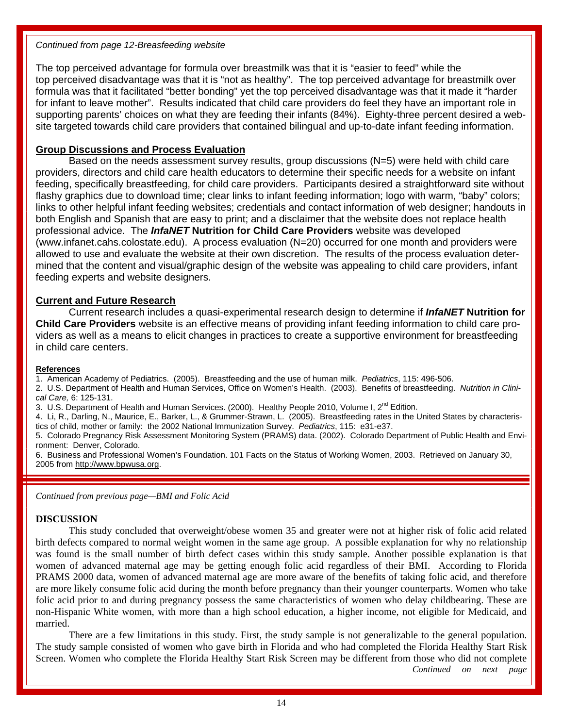#### *Continued from page 12-Breasfeeding website*

The top perceived advantage for formula over breastmilk was that it is "easier to feed" while the top perceived disadvantage was that it is "not as healthy". The top perceived advantage for breastmilk over formula was that it facilitated "better bonding" yet the top perceived disadvantage was that it made it "harder for infant to leave mother". Results indicated that child care providers do feel they have an important role in supporting parents' choices on what they are feeding their infants (84%). Eighty-three percent desired a website targeted towards child care providers that contained bilingual and up-to-date infant feeding information.

#### **Group Discussions and Process Evaluation**

 Based on the needs assessment survey results, group discussions (N=5) were held with child care providers, directors and child care health educators to determine their specific needs for a website on infant feeding, specifically breastfeeding, for child care providers. Participants desired a straightforward site without flashy graphics due to download time; clear links to infant feeding information; logo with warm, "baby" colors; links to other helpful infant feeding websites; credentials and contact information of web designer; handouts in both English and Spanish that are easy to print; and a disclaimer that the website does not replace health professional advice. The *InfaNET* **Nutrition for Child Care Providers** website was developed (www.infanet.cahs.colostate.edu). A process evaluation (N=20) occurred for one month and providers were allowed to use and evaluate the website at their own discretion. The results of the process evaluation determined that the content and visual/graphic design of the website was appealing to child care providers, infant feeding experts and website designers.

#### **Current and Future Research**

 Current research includes a quasi-experimental research design to determine if *InfaNET* **Nutrition for Child Care Providers** website is an effective means of providing infant feeding information to child care providers as well as a means to elicit changes in practices to create a supportive environment for breastfeeding in child care centers.

#### **References**

1. American Academy of Pediatrics. (2005). Breastfeeding and the use of human milk. *Pediatrics*, 115: 496-506.

2. U.S. Department of Health and Human Services, Office on Women's Health. (2003). Benefits of breastfeeding. *Nutrition in Clinical Care,* 6: 125-131.

3. U.S. Department of Health and Human Services. (2000). Healthy People 2010, Volume I, 2<sup>nd</sup> Edition.

4. Li, R., Darling, N., Maurice, E., Barker, L., & Grummer-Strawn, L. (2005). Breastfeeding rates in the United States by characteristics of child, mother or family: the 2002 National Immunization Survey. *Pediatrics*, 115: e31-e37.

5. Colorado Pregnancy Risk Assessment Monitoring System (PRAMS) data. (2002). Colorado Department of Public Health and Environment: Denver, Colorado.

6. Business and Professional Women's Foundation. 101 Facts on the Status of Working Women, 2003. Retrieved on January 30, 2005 from http://www.bpwusa.org.

*Continued from previous page—BMI and Folic Acid* 

#### **DISCUSSION**

This study concluded that overweight/obese women 35 and greater were not at higher risk of folic acid related birth defects compared to normal weight women in the same age group. A possible explanation for why no relationship was found is the small number of birth defect cases within this study sample. Another possible explanation is that women of advanced maternal age may be getting enough folic acid regardless of their BMI. According to Florida PRAMS 2000 data, women of advanced maternal age are more aware of the benefits of taking folic acid, and therefore are more likely consume folic acid during the month before pregnancy than their younger counterparts. Women who take folic acid prior to and during pregnancy possess the same characteristics of women who delay childbearing. These are non-Hispanic White women, with more than a high school education, a higher income, not eligible for Medicaid, and married.

There are a few limitations in this study. First, the study sample is not generalizable to the general population. The study sample consisted of women who gave birth in Florida and who had completed the Florida Healthy Start Risk Screen. Women who complete the Florida Healthy Start Risk Screen may be different from those who did not complete *Continued on next page*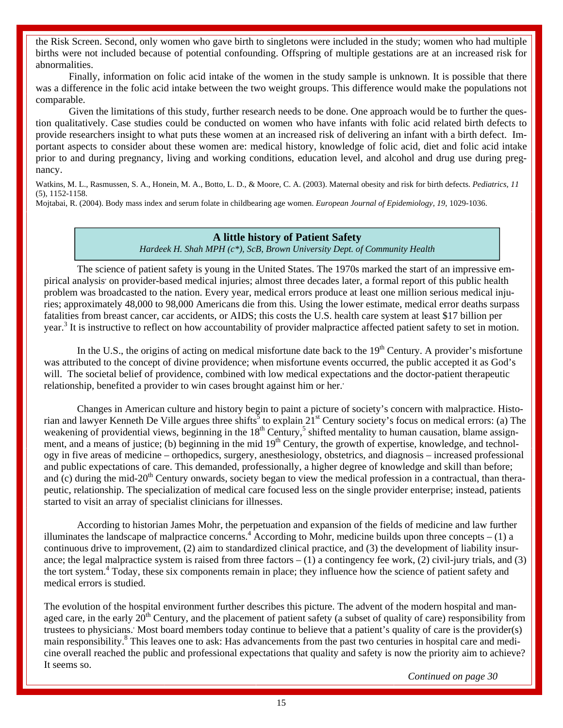<span id="page-14-0"></span>the Risk Screen. Second, only women who gave birth to singletons were included in the study; women who had multiple births were not included because of potential confounding. Offspring of multiple gestations are at an increased risk for abnormalities.

Finally, information on folic acid intake of the women in the study sample is unknown. It is possible that there was a difference in the folic acid intake between the two weight groups. This difference would make the populations not comparable.

Given the limitations of this study, further research needs to be done. One approach would be to further the question qualitatively. Case studies could be conducted on women who have infants with folic acid related birth defects to provide researchers insight to what puts these women at an increased risk of delivering an infant with a birth defect. Important aspects to consider about these women are: medical history, knowledge of folic acid, diet and folic acid intake prior to and during pregnancy, living and working conditions, education level, and alcohol and drug use during pregnancy.

Watkins, M. L., Rasmussen, S. A., Honein, M. A., Botto, L. D., & Moore, C. A. (2003). Maternal obesity and risk for birth defects. *Pediatrics, 11* (5), 1152-1158.

Mojtabai, R. (2004). Body mass index and serum folate in childbearing age women. *European Journal of Epidemiology, 19,* 1029-1036.

#### **A little history of Patient Safety**

*Hardeek H. Shah MPH (c\*), ScB, Brown University Dept. of Community Health* 

 The science of patient safety is young in the United States. The 1970s marked the start of an impressive empirical analysis on provider-based medical injuries; almost three decades later, a formal report of this public health problem was broadcasted to the nation. Every year, medical errors produce at least one million serious medical injuries; approximately 48,000 to 98,000 Americans die from this. Using the lower estimate, medical error deaths surpass fatalities from breast cancer, car accidents, or AIDS; this costs the U.S. health care system at least \$17 billion per year.<sup>3</sup> It is instructive to reflect on how accountability of provider malpractice affected patient safety to set in motion.

In the U.S., the origins of acting on medical misfortune date back to the  $19<sup>th</sup>$  Century. A provider's misfortune was attributed to the concept of divine providence; when misfortune events occurred, the public accepted it as God's will. The societal belief of providence, combined with low medical expectations and the doctor-patient therapeutic relationship, benefited a provider to win cases brought against him or her.

 Changes in American culture and history begin to paint a picture of society's concern with malpractice. Historian and lawyer Kenneth De Ville argues three shifts<sup>5</sup> to explain  $21^{st}$  Century society's focus on medical errors: (a) The weakening of providential views, beginning in the  $18<sup>th</sup>$  Century,<sup>5</sup> shifted mentality to human causation, blame assignment, and a means of justice; (b) beginning in the mid  $19<sup>th</sup>$  Century, the growth of expertise, knowledge, and technology in five areas of medicine – orthopedics, surgery, anesthesiology, obstetrics, and diagnosis – increased professional and public expectations of care. This demanded, professionally, a higher degree of knowledge and skill than before; and (c) during the mid-20<sup>th</sup> Century onwards, society began to view the medical profession in a contractual, than therapeutic, relationship. The specialization of medical care focused less on the single provider enterprise; instead, patients started to visit an array of specialist clinicians for illnesses.

 According to historian James Mohr, the perpetuation and expansion of the fields of medicine and law further illuminates the landscape of malpractice concerns.<sup>4</sup> According to Mohr, medicine builds upon three concepts – (1) a continuous drive to improvement, (2) aim to standardized clinical practice, and (3) the development of liability insurance; the legal malpractice system is raised from three factors  $- (1)$  a contingency fee work, (2) civil-jury trials, and (3) the tort system.<sup>4</sup> Today, these six components remain in place; they influence how the science of patient safety and medical errors is studied.

The evolution of the hospital environment further describes this picture. The advent of the modern hospital and managed care, in the early  $20<sup>th</sup>$  Century, and the placement of patient safety (a subset of quality of care) responsibility from trustees to physicians. Most board members today continue to believe that a patient's quality of care is the provider(s) main responsibility.<sup>8</sup> This leaves one to ask: Has advancements from the past two centuries in hospital care and medicine overall reached the public and professional expectations that quality and safety is now the priority aim to achieve? It seems so.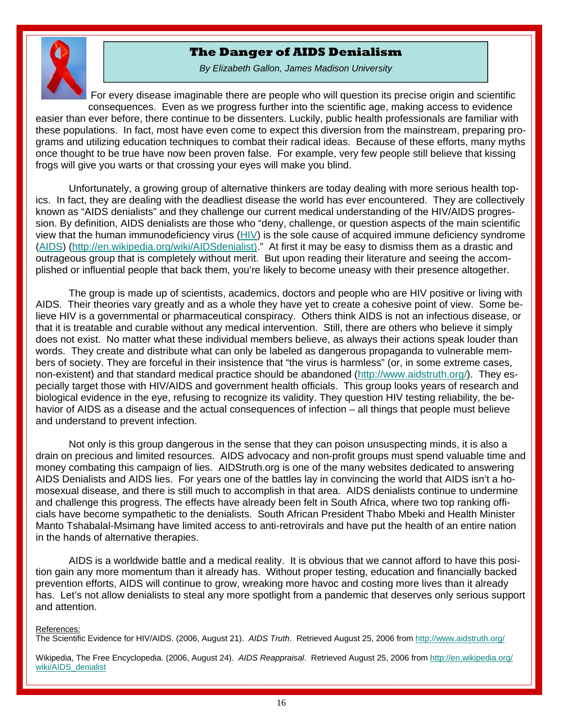#### **The Danger of AIDS Denialism**

<span id="page-15-0"></span>

*By Elizabeth Gallon, James Madison University* 

For every disease imaginable there are people who will question its precise origin and scientific consequences. Even as we progress further into the scientific age, making access to evidence easier than ever before, there continue to be dissenters. Luckily, public health professionals are familiar with these populations. In fact, most have even come to expect this diversion from the mainstream, preparing programs and utilizing education techniques to combat their radical ideas. Because of these efforts, many myths once thought to be true have now been proven false. For example, very few people still believe that kissing frogs will give you warts or that crossing your eyes will make you blind.

 Unfortunately, a growing group of alternative thinkers are today dealing with more serious health topics. In fact, they are dealing with the deadliest disease the world has ever encountered. They are collectively known as "AIDS denialists" and they challenge our current medical understanding of the HIV/AIDS progression. By definition, AIDS denialists are those who "deny, challenge, or question aspects of the main scientific view that the human immunodeficiency virus (HIV) is the sole cause of acquired immune deficiency syndrome (AIDS) (http://en.wikipedia.org/wiki/AIDSdenialist)." At first it may be easy to dismiss them as a drastic and outrageous group that is completely without merit. But upon reading their literature and seeing the accomplished or influential people that back them, you're likely to become uneasy with their presence altogether.

 The group is made up of scientists, academics, doctors and people who are HIV positive or living with AIDS. Their theories vary greatly and as a whole they have yet to create a cohesive point of view. Some believe HIV is a governmental or pharmaceutical conspiracy. Others think AIDS is not an infectious disease, or that it is treatable and curable without any medical intervention. Still, there are others who believe it simply does not exist. No matter what these individual members believe, as always their actions speak louder than words. They create and distribute what can only be labeled as dangerous propaganda to vulnerable members of society. They are forceful in their insistence that "the virus is harmless" (or, in some extreme cases, non-existent) and that standard medical practice should be abandoned (http://www.aidstruth.org/). They especially target those with HIV/AIDS and government health officials. This group looks years of research and biological evidence in the eye, refusing to recognize its validity. They question HIV testing reliability, the behavior of AIDS as a disease and the actual consequences of infection – all things that people must believe and understand to prevent infection.

 Not only is this group dangerous in the sense that they can poison unsuspecting minds, it is also a drain on precious and limited resources. AIDS advocacy and non-profit groups must spend valuable time and money combating this campaign of lies. AIDStruth.org is one of the many websites dedicated to answering AIDS Denialists and AIDS lies. For years one of the battles lay in convincing the world that AIDS isn't a homosexual disease, and there is still much to accomplish in that area. AIDS denialists continue to undermine and challenge this progress. The effects have already been felt in South Africa, where two top ranking officials have become sympathetic to the denialists. South African President Thabo Mbeki and Health Minister Manto Tshabalal-Msimang have limited access to anti-retrovirals and have put the health of an entire nation in the hands of alternative therapies.

 AIDS is a worldwide battle and a medical reality. It is obvious that we cannot afford to have this position gain any more momentum than it already has. Without proper testing, education and financially backed prevention efforts, AIDS will continue to grow, wreaking more havoc and costing more lives than it already has. Let's not allow denialists to steal any more spotlight from a pandemic that deserves only serious support and attention.

#### References:

The Scientific Evidence for HIV/AIDS. (2006, August 21). *AIDS Truth*. Retrieved August 25, 2006 from http://www.aidstruth.org/

Wikipedia, The Free Encyclopedia. (2006, August 24). *AIDS Reappraisal*. Retrieved August 25, 2006 from http://en.wikipedia.org/ wiki/AIDS\_denialist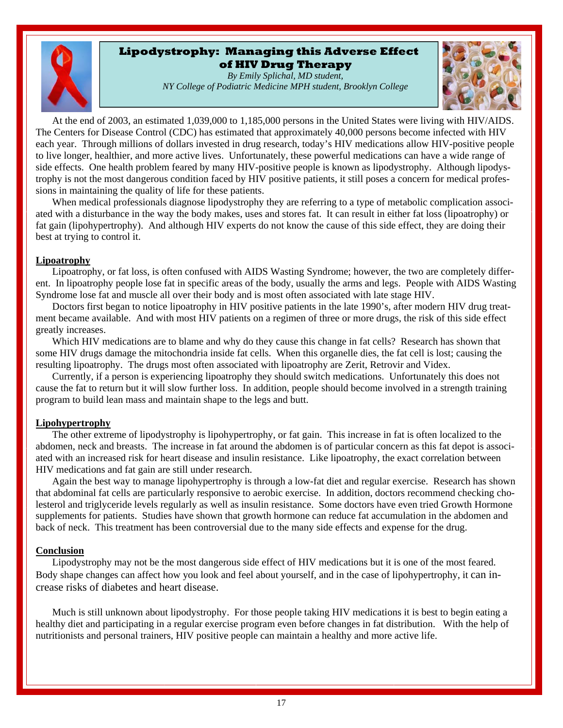#### **Lipodystrophy: Managing this Adverse Effect of HIV Drug Therapy**

*By Emily Splichal, MD student, NY College of Podiatric Medicine MPH student, Brooklyn College* 



<span id="page-16-0"></span>At the end of 2003, an estimated 1,039,000 to 1,185,000 persons in the United States were living with HIV/AIDS. The Centers for Disease Control (CDC) has estimated that approximately 40,000 persons become infected with HIV each year. Through millions of dollars invested in drug research, today's HIV medications allow HIV-positive people to live longer, healthier, and more active lives. Unfortunately, these powerful medications can have a wide range of side effects. One health problem feared by many HIV-positive people is known as lipodystrophy. Although lipodystrophy is not the most dangerous condition faced by HIV positive patients, it still poses a concern for medical professions in maintaining the quality of life for these patients.

When medical professionals diagnose lipodystrophy they are referring to a type of metabolic complication associated with a disturbance in the way the body makes, uses and stores fat. It can result in either fat loss (lipoatrophy) or fat gain (lipohypertrophy). And although HIV experts do not know the cause of this side effect, they are doing their best at trying to control it.

#### **Lipoatrophy**

Lipoatrophy, or fat loss, is often confused with AIDS Wasting Syndrome; however, the two are completely different. In lipoatrophy people lose fat in specific areas of the body, usually the arms and legs. People with AIDS Wasting Syndrome lose fat and muscle all over their body and is most often associated with late stage HIV.

Doctors first began to notice lipoatrophy in HIV positive patients in the late 1990's, after modern HIV drug treatment became available. And with most HIV patients on a regimen of three or more drugs, the risk of this side effect greatly increases.

Which HIV medications are to blame and why do they cause this change in fat cells? Research has shown that some HIV drugs damage the mitochondria inside fat cells. When this organelle dies, the fat cell is lost; causing the resulting lipoatrophy. The drugs most often associated with lipoatrophy are Zerit, Retrovir and Videx.

Currently, if a person is experiencing lipoatrophy they should switch medications. Unfortunately this does not cause the fat to return but it will slow further loss. In addition, people should become involved in a strength training program to build lean mass and maintain shape to the legs and butt.

#### **Lipohypertrophy**

The other extreme of lipodystrophy is lipohypertrophy, or fat gain. This increase in fat is often localized to the abdomen, neck and breasts. The increase in fat around the abdomen is of particular concern as this fat depot is associated with an increased risk for heart disease and insulin resistance. Like lipoatrophy, the exact correlation between HIV medications and fat gain are still under research.

Again the best way to manage lipohypertrophy is through a low-fat diet and regular exercise. Research has shown that abdominal fat cells are particularly responsive to aerobic exercise. In addition, doctors recommend checking cholesterol and triglyceride levels regularly as well as insulin resistance. Some doctors have even tried Growth Hormone supplements for patients. Studies have shown that growth hormone can reduce fat accumulation in the abdomen and back of neck. This treatment has been controversial due to the many side effects and expense for the drug.

#### **Conclusion**

Lipodystrophy may not be the most dangerous side effect of HIV medications but it is one of the most feared. Body shape changes can affect how you look and feel about yourself, and in the case of lipohypertrophy, it can increase risks of diabetes and heart disease.

Much is still unknown about lipodystrophy. For those people taking HIV medications it is best to begin eating a healthy diet and participating in a regular exercise program even before changes in fat distribution. With the help of nutritionists and personal trainers, HIV positive people can maintain a healthy and more active life.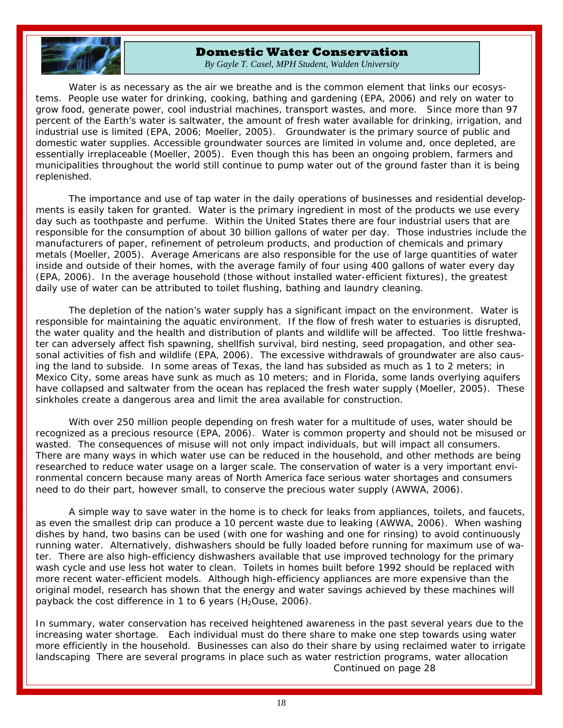<span id="page-17-0"></span>

#### **Domestic Water Conservation**

*By Gayle T. Casel, MPH Student, Walden University* 

Water is as necessary as the air we breathe and is the common element that links our ecosystems. People use water for drinking, cooking, bathing and gardening (EPA, 2006) and rely on water to grow food, generate power, cool industrial machines, transport wastes, and more. Since more than 97 percent of the Earth's water is saltwater, the amount of fresh water available for drinking, irrigation, and industrial use is limited (EPA, 2006; Moeller, 2005). Groundwater is the primary source of public and domestic water supplies. Accessible groundwater sources are limited in volume and, once depleted, are essentially irreplaceable (Moeller, 2005). Even though this has been an ongoing problem, farmers and municipalities throughout the world still continue to pump water out of the ground faster than it is being replenished.

 The importance and use of tap water in the daily operations of businesses and residential developments is easily taken for granted. Water is the primary ingredient in most of the products we use every day such as toothpaste and perfume. Within the United States there are four industrial users that are responsible for the consumption of about 30 billion gallons of water per day. Those industries include the manufacturers of paper, refinement of petroleum products, and production of chemicals and primary metals (Moeller, 2005). Average Americans are also responsible for the use of large quantities of water inside and outside of their homes, with the average family of four using 400 gallons of water every day (EPA, 2006). In the average household (those without installed water-efficient fixtures), the greatest daily use of water can be attributed to toilet flushing, bathing and laundry cleaning.

 The depletion of the nation's water supply has a significant impact on the environment. Water is responsible for maintaining the aquatic environment. If the flow of fresh water to estuaries is disrupted, the water quality and the health and distribution of plants and wildlife will be affected. Too little freshwater can adversely affect fish spawning, shellfish survival, bird nesting, seed propagation, and other seasonal activities of fish and wildlife (EPA, 2006). The excessive withdrawals of groundwater are also causing the land to subside. In some areas of Texas, the land has subsided as much as 1 to 2 meters; in Mexico City, some areas have sunk as much as 10 meters; and in Florida, some lands overlying aquifers have collapsed and saltwater from the ocean has replaced the fresh water supply (Moeller, 2005). These sinkholes create a dangerous area and limit the area available for construction.

 With over 250 million people depending on fresh water for a multitude of uses, water should be recognized as a precious resource (EPA, 2006). Water is common property and should not be misused or wasted. The consequences of misuse will not only impact individuals, but will impact all consumers. There are many ways in which water use can be reduced in the household, and other methods are being researched to reduce water usage on a larger scale. The conservation of water is a very important environmental concern because many areas of North America face serious water shortages and consumers need to do their part, however small, to conserve the precious water supply (AWWA, 2006).

 A simple way to save water in the home is to check for leaks from appliances, toilets, and faucets, as even the smallest drip can produce a 10 percent waste due to leaking (AWWA, 2006). When washing dishes by hand, two basins can be used (with one for washing and one for rinsing) to avoid continuously running water. Alternatively, dishwashers should be fully loaded before running for maximum use of water. There are also high-efficiency dishwashers available that use improved technology for the primary wash cycle and use less hot water to clean. Toilets in homes built before 1992 should be replaced with more recent water-efficient models. Although high-efficiency appliances are more expensive than the original model, research has shown that the energy and water savings achieved by these machines will payback the cost difference in 1 to 6 years  $(H_2Ouse, 2006)$ .

In summary, water conservation has received heightened awareness in the past several years due to the increasing water shortage. Each individual must do there share to make one step towards using water more efficiently in the household. Businesses can also do their share by using reclaimed water to irrigate landscaping There are several programs in place such as water restriction programs, water allocation *Continued on page 28*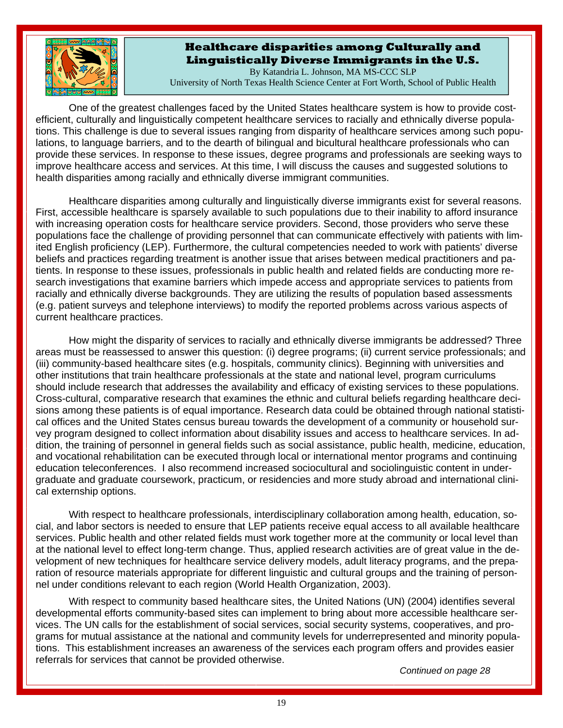<span id="page-18-0"></span>

#### **Healthcare disparities among Culturally and Linguistically Diverse Immigrants in the U.S.**

By Katandria L. Johnson, MA MS-CCC SLP University of North Texas Health Science Center at Fort Worth, School of Public Health

One of the greatest challenges faced by the United States healthcare system is how to provide costefficient, culturally and linguistically competent healthcare services to racially and ethnically diverse populations. This challenge is due to several issues ranging from disparity of healthcare services among such populations, to language barriers, and to the dearth of bilingual and bicultural healthcare professionals who can provide these services. In response to these issues, degree programs and professionals are seeking ways to improve healthcare access and services. At this time, I will discuss the causes and suggested solutions to health disparities among racially and ethnically diverse immigrant communities.

 Healthcare disparities among culturally and linguistically diverse immigrants exist for several reasons. First, accessible healthcare is sparsely available to such populations due to their inability to afford insurance with increasing operation costs for healthcare service providers. Second, those providers who serve these populations face the challenge of providing personnel that can communicate effectively with patients with limited English proficiency (LEP). Furthermore, the cultural competencies needed to work with patients' diverse beliefs and practices regarding treatment is another issue that arises between medical practitioners and patients. In response to these issues, professionals in public health and related fields are conducting more research investigations that examine barriers which impede access and appropriate services to patients from racially and ethnically diverse backgrounds. They are utilizing the results of population based assessments (e.g. patient surveys and telephone interviews) to modify the reported problems across various aspects of current healthcare practices.

 How might the disparity of services to racially and ethnically diverse immigrants be addressed? Three areas must be reassessed to answer this question: (i) degree programs; (ii) current service professionals; and (iii) community-based healthcare sites (e.g. hospitals, community clinics). Beginning with universities and other institutions that train healthcare professionals at the state and national level, program curriculums should include research that addresses the availability and efficacy of existing services to these populations. Cross-cultural, comparative research that examines the ethnic and cultural beliefs regarding healthcare decisions among these patients is of equal importance. Research data could be obtained through national statistical offices and the United States census bureau towards the development of a community or household survey program designed to collect information about disability issues and access to healthcare services. In addition, the training of personnel in general fields such as social assistance, public health, medicine, education, and vocational rehabilitation can be executed through local or international mentor programs and continuing education teleconferences. I also recommend increased sociocultural and sociolinguistic content in undergraduate and graduate coursework, practicum, or residencies and more study abroad and international clinical externship options.

With respect to healthcare professionals, interdisciplinary collaboration among health, education, social, and labor sectors is needed to ensure that LEP patients receive equal access to all available healthcare services. Public health and other related fields must work together more at the community or local level than at the national level to effect long-term change. Thus, applied research activities are of great value in the development of new techniques for healthcare service delivery models, adult literacy programs, and the preparation of resource materials appropriate for different linguistic and cultural groups and the training of personnel under conditions relevant to each region (World Health Organization, 2003).

 With respect to community based healthcare sites, the United Nations (UN) (2004) identifies several developmental efforts community-based sites can implement to bring about more accessible healthcare services. The UN calls for the establishment of social services, social security systems, cooperatives, and programs for mutual assistance at the national and community levels for underrepresented and minority populations. This establishment increases an awareness of the services each program offers and provides easier referrals for services that cannot be provided otherwise.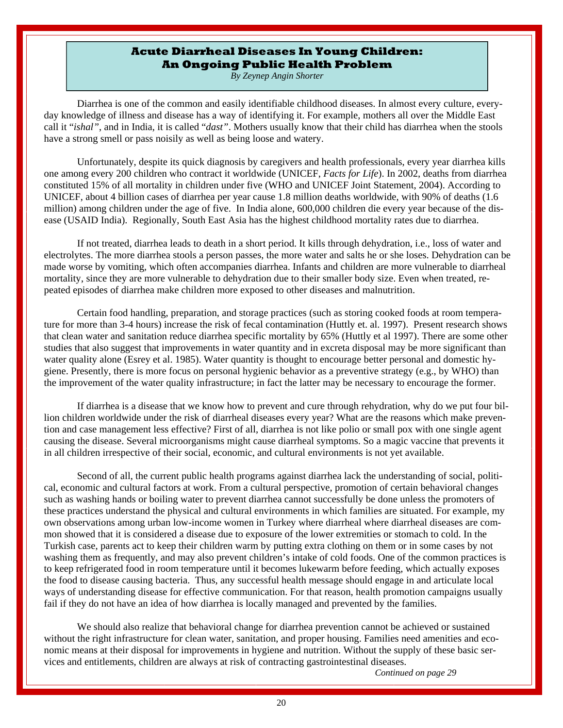#### **Acute Diarrheal Diseases In Young Children: An Ongoing Public Health Problem**

*By Zeynep Angin Shorter* 

<span id="page-19-0"></span>Diarrhea is one of the common and easily identifiable childhood diseases. In almost every culture, everyday knowledge of illness and disease has a way of identifying it. For example, mothers all over the Middle East call it "*ishal"*, and in India, it is called "*dast"*. Mothers usually know that their child has diarrhea when the stools have a strong smell or pass noisily as well as being loose and watery.

 Unfortunately, despite its quick diagnosis by caregivers and health professionals, every year diarrhea kills one among every 200 children who contract it worldwide (UNICEF, *Facts for Life*). In 2002, deaths from diarrhea constituted 15% of all mortality in children under five (WHO and UNICEF Joint Statement, 2004). According to UNICEF, about 4 billion cases of diarrhea per year cause 1.8 million deaths worldwide, with 90% of deaths (1.6 million) among children under the age of five. In India alone, 600,000 children die every year because of the disease (USAID India). Regionally, South East Asia has the highest childhood mortality rates due to diarrhea.

 If not treated, diarrhea leads to death in a short period. It kills through dehydration, i.e., loss of water and electrolytes. The more diarrhea stools a person passes, the more water and salts he or she loses. Dehydration can be made worse by vomiting, which often accompanies diarrhea. Infants and children are more vulnerable to diarrheal mortality, since they are more vulnerable to dehydration due to their smaller body size. Even when treated, repeated episodes of diarrhea make children more exposed to other diseases and malnutrition.

 Certain food handling, preparation, and storage practices (such as storing cooked foods at room temperature for more than 3-4 hours) increase the risk of fecal contamination (Huttly et. al. 1997). Present research shows that clean water and sanitation reduce diarrhea specific mortality by 65% (Huttly et al 1997). There are some other studies that also suggest that improvements in water quantity and in excreta disposal may be more significant than water quality alone (Esrey et al. 1985). Water quantity is thought to encourage better personal and domestic hygiene. Presently, there is more focus on personal hygienic behavior as a preventive strategy (e.g., by WHO) than the improvement of the water quality infrastructure; in fact the latter may be necessary to encourage the former.

 If diarrhea is a disease that we know how to prevent and cure through rehydration, why do we put four billion children worldwide under the risk of diarrheal diseases every year? What are the reasons which make prevention and case management less effective? First of all, diarrhea is not like polio or small pox with one single agent causing the disease. Several microorganisms might cause diarrheal symptoms. So a magic vaccine that prevents it in all children irrespective of their social, economic, and cultural environments is not yet available.

 Second of all, the current public health programs against diarrhea lack the understanding of social, political, economic and cultural factors at work. From a cultural perspective, promotion of certain behavioral changes such as washing hands or boiling water to prevent diarrhea cannot successfully be done unless the promoters of these practices understand the physical and cultural environments in which families are situated. For example, my own observations among urban low-income women in Turkey where diarrheal where diarrheal diseases are common showed that it is considered a disease due to exposure of the lower extremities or stomach to cold. In the Turkish case, parents act to keep their children warm by putting extra clothing on them or in some cases by not washing them as frequently, and may also prevent children's intake of cold foods. One of the common practices is to keep refrigerated food in room temperature until it becomes lukewarm before feeding, which actually exposes the food to disease causing bacteria. Thus, any successful health message should engage in and articulate local ways of understanding disease for effective communication. For that reason, health promotion campaigns usually fail if they do not have an idea of how diarrhea is locally managed and prevented by the families.

 We should also realize that behavioral change for diarrhea prevention cannot be achieved or sustained without the right infrastructure for clean water, sanitation, and proper housing. Families need amenities and economic means at their disposal for improvements in hygiene and nutrition. Without the supply of these basic services and entitlements, children are always at risk of contracting gastrointestinal diseases.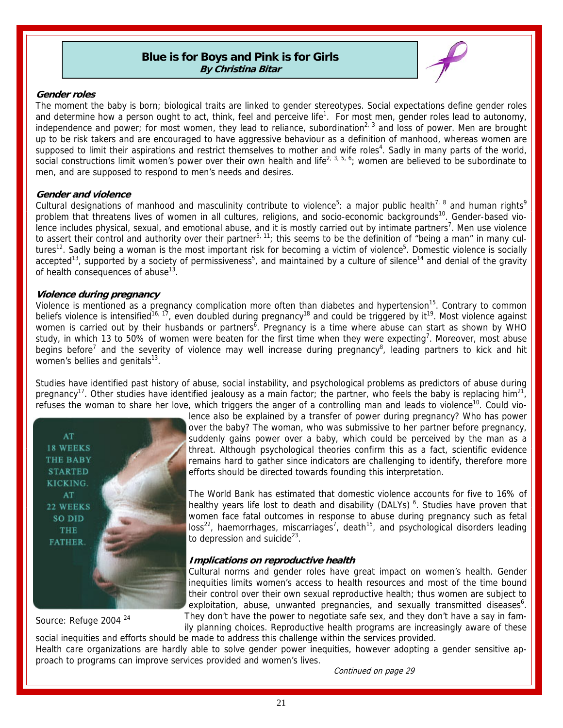#### **Blue is for Boys and Pink is for Girls By Christina Bitar**



#### <span id="page-20-0"></span>**Gender roles**

The moment the baby is born; biological traits are linked to gender stereotypes. Social expectations define gender roles and determine how a person ought to act, think, feel and perceive life<sup>1</sup>. For most men, gender roles lead to autonomy, independence and power; for most women, they lead to reliance, subordination<sup>2, 3</sup> and loss of power. Men are brought up to be risk takers and are encouraged to have aggressive behaviour as a definition of manhood, whereas women are supposed to limit their aspirations and restrict themselves to mother and wife roles<sup>4</sup>. Sadly in many parts of the world, social constructions limit women's power over their own health and life<sup>2, 3, 5, 6</sup>; women are believed to be subordinate to men, and are supposed to respond to men's needs and desires.

#### **Gender and violence**

Cultural designations of manhood and masculinity contribute to violence<sup>5</sup>: a major public health<sup>7, 8</sup> and human rights<sup>9</sup> problem that threatens lives of women in all cultures, religions, and socio-economic backgrounds<sup>10</sup>. Gender-based violence includes physical, sexual, and emotional abuse, and it is mostly carried out by intimate partners<sup>7</sup>. Men use violence to assert their control and authority over their partner<sup>5, 11</sup>; this seems to be the definition of "being a man" in many cultures<sup>12</sup>. Sadly being a woman is the most important risk for becoming a victim of violence<sup>5</sup>. Domestic violence is socially accepted<sup>13</sup>, supported by a society of permissiveness<sup>5</sup>, and maintained by a culture of silence<sup>14</sup> and denial of the gravity of health consequences of abuse $13$ .

#### **Violence during pregnancy**

Violence is mentioned as a pregnancy complication more often than diabetes and hypertension<sup>15</sup>. Contrary to common beliefs violence is intensified<sup>16, 17</sup>, even doubled during pregnancy<sup>18</sup> and could be triggered by it<sup>19</sup>. Most violence against women is carried out by their husbands or partners<sup> $\bar{6}$ </sup>. Pregnancy is a time where abuse can start as shown by WHO study, in which 13 to 50% of women were beaten for the first time when they were expecting<sup>7</sup>. Moreover, most abuse begins before<sup>7</sup> and the severity of violence may well increase during pregnancy<sup>8</sup>, leading partners to kick and hit women's bellies and genitals $13$ .

Studies have identified past history of abuse, social instability, and psychological problems as predictors of abuse during pregnancy<sup>17</sup>. Other studies have identified jealousy as a main factor; the partner, who feels the baby is replacing him<sup>21</sup>, refuses the woman to share her love, which triggers the anger of a controlling man and leads to violence<sup>10</sup>. Could vio-



Source: Refuge 2004 <sup>24</sup>

lence also be explained by a transfer of power during pregnancy? Who has power over the baby? The woman, who was submissive to her partner before pregnancy, suddenly gains power over a baby, which could be perceived by the man as a threat. Although psychological theories confirm this as a fact, scientific evidence remains hard to gather since indicators are challenging to identify, therefore more efforts should be directed towards founding this interpretation.

The World Bank has estimated that domestic violence accounts for five to 16% of healthy years life lost to death and disability (DALYs)<sup>6</sup>. Studies have proven that women face fatal outcomes in response to abuse during pregnancy such as fetal  $loss<sup>22</sup>$ , haemorrhages, miscarriages<sup>7</sup>, death<sup>15</sup>, and psychological disorders leading to depression and suicide $^{23}$ .

#### **Implications on reproductive health**

Cultural norms and gender roles have great impact on women's health. Gender inequities limits women's access to health resources and most of the time bound their control over their own sexual reproductive health; thus women are subject to exploitation, abuse, unwanted pregnancies, and sexually transmitted diseases<sup>6</sup>. They don't have the power to negotiate safe sex, and they don't have a say in fam-

ily planning choices. Reproductive health programs are increasingly aware of these social inequities and efforts should be made to address this challenge within the services provided.

Health care organizations are hardly able to solve gender power inequities, however adopting a gender sensitive approach to programs can improve services provided and women's lives.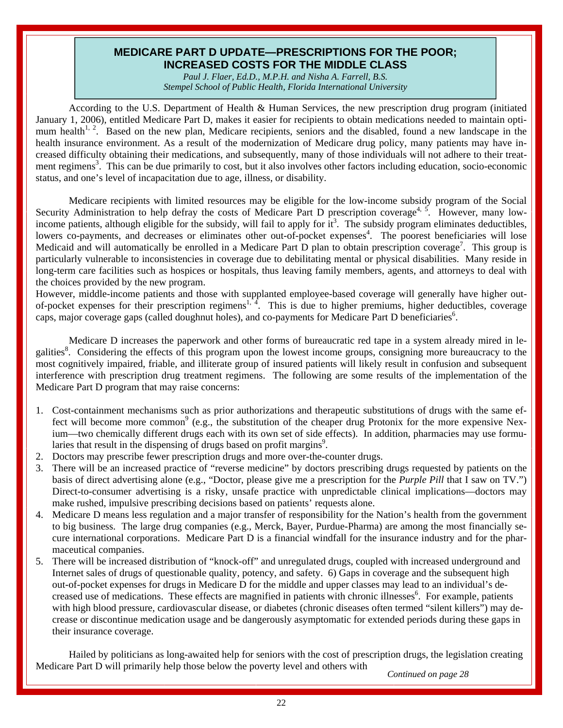#### **MEDICARE PART D UPDATE—PRESCRIPTIONS FOR THE POOR; INCREASED COSTS FOR THE MIDDLE CLASS**

*Paul J. Flaer, Ed.D., M.P.H. and Nisha A. Farrell, B.S. Stempel School of Public Health, Florida International University* 

<span id="page-21-0"></span>According to the U.S. Department of Health & Human Services, the new prescription drug program (initiated January 1, 2006), entitled Medicare Part D, makes it easier for recipients to obtain medications needed to maintain optimum health<sup>1, 2</sup>. Based on the new plan, Medicare recipients, seniors and the disabled, found a new landscape in the health insurance environment. As a result of the modernization of Medicare drug policy, many patients may have increased difficulty obtaining their medications, and subsequently, many of those individuals will not adhere to their treatment regimens<sup>3</sup>. This can be due primarily to cost, but it also involves other factors including education, socio-economic status, and one's level of incapacitation due to age, illness, or disability.

 Medicare recipients with limited resources may be eligible for the low-income subsidy program of the Social Security Administration to help defray the costs of Medicare Part D prescription coverage<sup>4, 5</sup>. However, many lowincome patients, although eligible for the subsidy, will fail to apply for  $it^3$ . The subsidy program eliminates deductibles, lowers co-payments, and decreases or eliminates other out-of-pocket expenses<sup>4</sup>. The poorest beneficiaries will lose Medicaid and will automatically be enrolled in a Medicare Part  $\overline{D}$  plan to obtain prescription coverage<sup>7</sup>. This group is particularly vulnerable to inconsistencies in coverage due to debilitating mental or physical disabilities. Many reside in long-term care facilities such as hospices or hospitals, thus leaving family members, agents, and attorneys to deal with the choices provided by the new program.

However, middle-income patients and those with supplanted employee-based coverage will generally have higher outof-pocket expenses for their prescription regimens<sup>1, 4</sup>. This is due to higher premiums, higher deductibles, coverage caps, major coverage gaps (called doughnut holes), and co-payments for Medicare Part D beneficiaries<sup>6</sup>.

 Medicare D increases the paperwork and other forms of bureaucratic red tape in a system already mired in legalities<sup>8</sup>. Considering the effects of this program upon the lowest income groups, consigning more bureaucracy to the most cognitively impaired, friable, and illiterate group of insured patients will likely result in confusion and subsequent interference with prescription drug treatment regimens.The following are some results of the implementation of the Medicare Part D program that may raise concerns:

- 1. Cost-containment mechanisms such as prior authorizations and therapeutic substitutions of drugs with the same effect will become more common<sup>9</sup> (e.g., the substitution of the cheaper drug Protonix for the more expensive Nexium—two chemically different drugs each with its own set of side effects). In addition, pharmacies may use formularies that result in the dispensing of drugs based on profit margins<sup>9</sup>.
- 2. Doctors may prescribe fewer prescription drugs and more over-the-counter drugs.
- 3. There will be an increased practice of "reverse medicine" by doctors prescribing drugs requested by patients on the basis of direct advertising alone (e.g., "Doctor, please give me a prescription for the *Purple Pill* that I saw on TV.") Direct-to-consumer advertising is a risky, unsafe practice with unpredictable clinical implications—doctors may make rushed, impulsive prescribing decisions based on patients' requests alone.
- 4. Medicare D means less regulation and a major transfer of responsibility for the Nation's health from the government to big business. The large drug companies (e.g., Merck, Bayer, Purdue-Pharma) are among the most financially secure international corporations. Medicare Part D is a financial windfall for the insurance industry and for the pharmaceutical companies.
- 5. There will be increased distribution of "knock-off" and unregulated drugs, coupled with increased underground and Internet sales of drugs of questionable quality, potency, and safety. 6) Gaps in coverage and the subsequent high out-of-pocket expenses for drugs in Medicare D for the middle and upper classes may lead to an individual's decreased use of medications. These effects are magnified in patients with chronic illnesses<sup>6</sup>. For example, patients with high blood pressure, cardiovascular disease, or diabetes (chronic diseases often termed "silent killers") may decrease or discontinue medication usage and be dangerously asymptomatic for extended periods during these gaps in their insurance coverage.

 Hailed by politicians as long-awaited help for seniors with the cost of prescription drugs, the legislation creating Medicare Part D will primarily help those below the poverty level and others with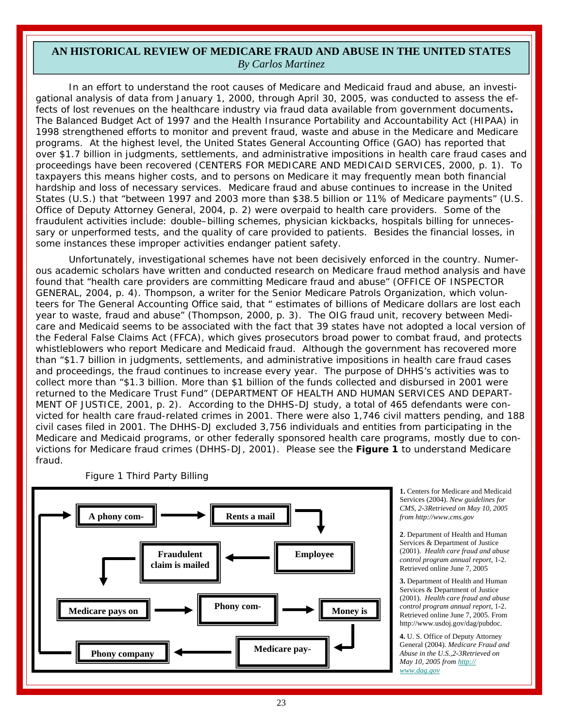#### <span id="page-22-0"></span>**AN HISTORICAL REVIEW OF MEDICARE FRAUD AND ABUSE IN THE UNITED STATES**  *By Carlos Martinez*

 In an effort to understand the root causes of Medicare and Medicaid fraud and abuse, an investigational analysis of data from January 1, 2000, through April 30, 2005, was conducted to assess the effects of lost revenues on the healthcare industry via fraud data available from government documents**.**  The Balanced Budget Act of 1997 and the Health Insurance Portability and Accountability Act (HIPAA) in 1998 strengthened efforts to monitor and prevent fraud, waste and abuse in the Medicare and Medicare programs. At the highest level, the United States General Accounting Office (GAO) has reported that over \$1.7 billion in judgments, settlements, and administrative impositions in health care fraud cases and proceedings have been recovered (CENTERS FOR MEDICARE AND MEDICAID SERVICES, 2000, p. 1). To taxpayers this means higher costs, and to persons on Medicare it may frequently mean both financial hardship and loss of necessary services. Medicare fraud and abuse continues to increase in the United States (U.S.) that "between 1997 and 2003 more than \$38.5 billion or 11% of Medicare payments" (U.S. Office of Deputy Attorney General, 2004, p. 2) were overpaid to health care providers. Some of the fraudulent activities include: double–billing schemes, physician kickbacks, hospitals billing for unnecessary or unperformed tests, and the quality of care provided to patients. Besides the financial losses, in some instances these improper activities endanger patient safety.

 Unfortunately, investigational schemes have not been decisively enforced in the country. Numerous academic scholars have written and conducted research on Medicare fraud method analysis and have found that "health care providers are committing Medicare fraud and abuse" (OFFICE OF INSPECTOR GENERAL, 2004, p. 4). Thompson, a writer for the Senior Medicare Patrols Organization, which volunteers for The General Accounting Office said, that " estimates of billions of Medicare dollars are lost each year to waste, fraud and abuse" (Thompson, 2000, p. 3). The OIG fraud unit, recovery between Medicare and Medicaid seems to be associated with the fact that 39 states have not adopted a local version of the Federal False Claims Act (FFCA), which gives prosecutors broad power to combat fraud, and protects whistleblowers who report Medicare and Medicaid fraud. Although the government has recovered more than "\$1.7 billion in judgments, settlements, and administrative impositions in health care fraud cases and proceedings, the fraud continues to increase every year. The purpose of DHHS's activities was to collect more than "\$1.3 billion. More than \$1 billion of the funds collected and disbursed in 2001 were returned to the Medicare Trust Fund" (DEPARTMENT OF HEALTH AND HUMAN SERVICES AND DEPART-MENT OF JUSTICE, 2001, p. 2). According to the DHHS-DJ study, a total of 465 defendants were convicted for health care fraud-related crimes in 2001. There were also 1,746 civil matters pending, and 188 civil cases filed in 2001. The DHHS-DJ excluded 3,756 individuals and entities from participating in the Medicare and Medicaid programs, or other federally sponsored health care programs, mostly due to convictions for Medicare fraud crimes (DHHS-DJ, 2001). Please see the *Figure 1* to understand Medicare fraud.



Figure 1 Third Party Billing

**1.** Centers for Medicare and Medicaid Services (2004). *New guidelines for CMS, 2-3Retrieved on May 10, 2005 from http://www.cms.gov*

**2**. Department of Health and Human Services & Department of Justice (2001). *Health care fraud and abuse control program annual report*, 1-2. Retrieved online June 7, 2005

**3.** Department of Health and Human Services & Department of Justice (2001). *Health care fraud and abuse control program annual report*, 1-2. Retrieved online June 7, 2005. From http://www.usdoj.gov/dag/pubdoc.

**4.** U. S. Office of Deputy Attorney General (2004). *Medicare Fraud and Abuse in the U.S.,2-3Retrieved on May 10, 2005 from http:// www.dag.gov*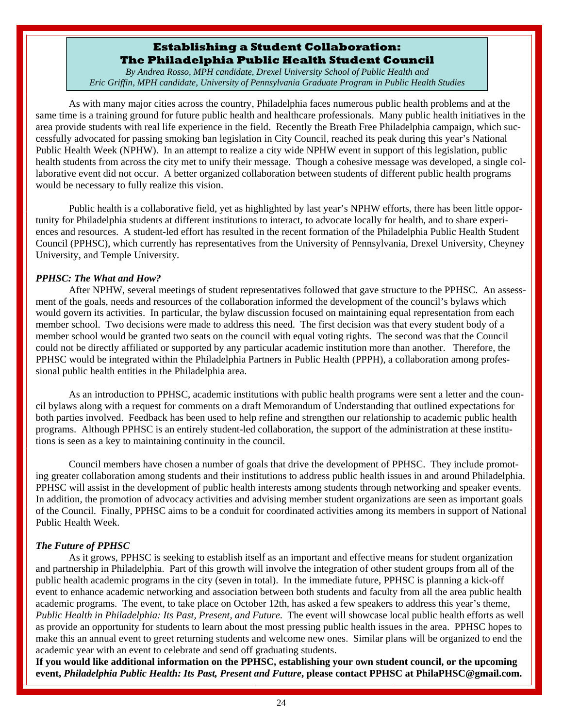#### **Establishing a Student Collaboration: The Philadelphia Public Health Student Council**

*By Andrea Rosso, MPH candidate, Drexel University School of Public Health and Eric Griffin, MPH candidate, University of Pennsylvania Graduate Program in Public Health Studies* 

<span id="page-23-0"></span>As with many major cities across the country, Philadelphia faces numerous public health problems and at the same time is a training ground for future public health and healthcare professionals. Many public health initiatives in the area provide students with real life experience in the field. Recently the Breath Free Philadelphia campaign, which successfully advocated for passing smoking ban legislation in City Council, reached its peak during this year's National Public Health Week (NPHW). In an attempt to realize a city wide NPHW event in support of this legislation, public health students from across the city met to unify their message. Though a cohesive message was developed, a single collaborative event did not occur. A better organized collaboration between students of different public health programs would be necessary to fully realize this vision.

 Public health is a collaborative field, yet as highlighted by last year's NPHW efforts, there has been little opportunity for Philadelphia students at different institutions to interact, to advocate locally for health, and to share experiences and resources. A student-led effort has resulted in the recent formation of the Philadelphia Public Health Student Council (PPHSC), which currently has representatives from the University of Pennsylvania, Drexel University, Cheyney University, and Temple University.

#### *PPHSC: The What and How?*

 After NPHW, several meetings of student representatives followed that gave structure to the PPHSC. An assessment of the goals, needs and resources of the collaboration informed the development of the council's bylaws which would govern its activities. In particular, the bylaw discussion focused on maintaining equal representation from each member school. Two decisions were made to address this need. The first decision was that every student body of a member school would be granted two seats on the council with equal voting rights. The second was that the Council could not be directly affiliated or supported by any particular academic institution more than another. Therefore, the PPHSC would be integrated within the Philadelphia Partners in Public Health (PPPH), a collaboration among professional public health entities in the Philadelphia area.

 As an introduction to PPHSC, academic institutions with public health programs were sent a letter and the council bylaws along with a request for comments on a draft Memorandum of Understanding that outlined expectations for both parties involved. Feedback has been used to help refine and strengthen our relationship to academic public health programs. Although PPHSC is an entirely student-led collaboration, the support of the administration at these institutions is seen as a key to maintaining continuity in the council.

 Council members have chosen a number of goals that drive the development of PPHSC. They include promoting greater collaboration among students and their institutions to address public health issues in and around Philadelphia. PPHSC will assist in the development of public health interests among students through networking and speaker events. In addition, the promotion of advocacy activities and advising member student organizations are seen as important goals of the Council. Finally, PPHSC aims to be a conduit for coordinated activities among its members in support of National Public Health Week.

#### *The Future of PPHSC*

 As it grows, PPHSC is seeking to establish itself as an important and effective means for student organization and partnership in Philadelphia. Part of this growth will involve the integration of other student groups from all of the public health academic programs in the city (seven in total). In the immediate future, PPHSC is planning a kick-off event to enhance academic networking and association between both students and faculty from all the area public health academic programs. The event, to take place on October 12th, has asked a few speakers to address this year's theme, *Public Health in Philadelphia: Its Past, Present, and Future*. The event will showcase local public health efforts as well as provide an opportunity for students to learn about the most pressing public health issues in the area. PPHSC hopes to make this an annual event to greet returning students and welcome new ones. Similar plans will be organized to end the academic year with an event to celebrate and send off graduating students.

**If you would like additional information on the PPHSC, establishing your own student council, or the upcoming event,** *Philadelphia Public Health: Its Past, Present and Future***, please contact PPHSC at PhilaPHSC@gmail.com.**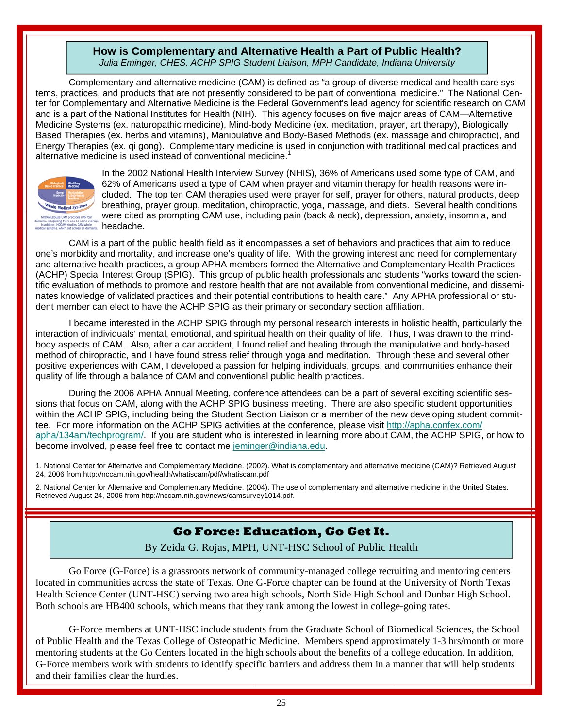#### **How is Complementary and Alternative Health a Part of Public Health?**  *Julia Eminger, CHES, ACHP SPIG Student Liaison, MPH Candidate, Indiana University*

<span id="page-24-0"></span> Complementary and alternative medicine (CAM) is defined as "a group of diverse medical and health care systems, practices, and products that are not presently considered to be part of conventional medicine." The National Center for Complementary and Alternative Medicine is the Federal Government's lead agency for scientific research on CAM and is a part of the National Institutes for Health (NIH). This agency focuses on five major areas of CAM—Alternative Medicine Systems (ex. naturopathic medicine), Mind-body Medicine (ex. meditation, prayer, art therapy), Biologically Based Therapies (ex. herbs and vitamins), Manipulative and Body-Based Methods (ex. massage and chiropractic), and Energy Therapies (ex. qi gong). Complementary medicine is used in conjunction with traditional medical practices and alternative medicine is used instead of conventional medicine. $1$ 



In the 2002 National Health Interview Survey (NHIS), 36% of Americans used some type of CAM, and 62% of Americans used a type of CAM when prayer and vitamin therapy for health reasons were included. The top ten CAM therapies used were prayer for self, prayer for others, natural products, deep breathing, prayer group, meditation, chiropractic, yoga, massage, and diets. Several health conditions were cited as prompting CAM use, including pain (back & neck), depression, anxiety, insomnia, and headache.

 CAM is a part of the public health field as it encompasses a set of behaviors and practices that aim to reduce one's morbidity and mortality, and increase one's quality of life. With the growing interest and need for complementary and alternative health practices, a group APHA members formed the Alternative and Complementary Health Practices (ACHP) Special Interest Group (SPIG). This group of public health professionals and students "works toward the scientific evaluation of methods to promote and restore health that are not available from conventional medicine, and disseminates knowledge of validated practices and their potential contributions to health care." Any APHA professional or student member can elect to have the ACHP SPIG as their primary or secondary section affiliation.

 I became interested in the ACHP SPIG through my personal research interests in holistic health, particularly the interaction of individuals' mental, emotional, and spiritual health on their quality of life. Thus, I was drawn to the mindbody aspects of CAM. Also, after a car accident, I found relief and healing through the manipulative and body-based method of chiropractic, and I have found stress relief through yoga and meditation. Through these and several other positive experiences with CAM, I developed a passion for helping individuals, groups, and communities enhance their quality of life through a balance of CAM and conventional public health practices.

 During the 2006 APHA Annual Meeting, conference attendees can be a part of several exciting scientific sessions that focus on CAM, along with the ACHP SPIG business meeting. There are also specific student opportunities within the ACHP SPIG, including being the Student Section Liaison or a member of the new developing student committee. For more information on the ACHP SPIG activities at the conference, please visit http://apha.confex.com/ apha/134am/techprogram/. If you are student who is interested in learning more about CAM, the ACHP SPIG, or how to become involved, please feel free to contact me jeminger@indiana.edu.

1. National Center for Alternative and Complementary Medicine. (2002). What is complementary and alternative medicine (CAM)? Retrieved August 24, 2006 from http://nccam.nih.gov/health/whatiscam/pdf/whatiscam.pdf

2. National Center for Alternative and Complementary Medicine. (2004). The use of complementary and alternative medicine in the United States. Retrieved August 24, 2006 from http://nccam.nih.gov/news/camsurvey1014.pdf.

#### **Go Force: Education, Go Get It.**

By Zeida G. Rojas, MPH, UNT-HSC School of Public Health

Go Force (G-Force) is a grassroots network of community-managed college recruiting and mentoring centers located in communities across the state of Texas. One G-Force chapter can be found at the University of North Texas Health Science Center (UNT-HSC) serving two area high schools, North Side High School and Dunbar High School. Both schools are HB400 schools, which means that they rank among the lowest in college-going rates.

 G-Force members at UNT-HSC include students from the Graduate School of Biomedical Sciences, the School of Public Health and the Texas College of Osteopathic Medicine. Members spend approximately 1-3 hrs/month or more mentoring students at the Go Centers located in the high schools about the benefits of a college education. In addition, G-Force members work with students to identify specific barriers and address them in a manner that will help students and their families clear the hurdles.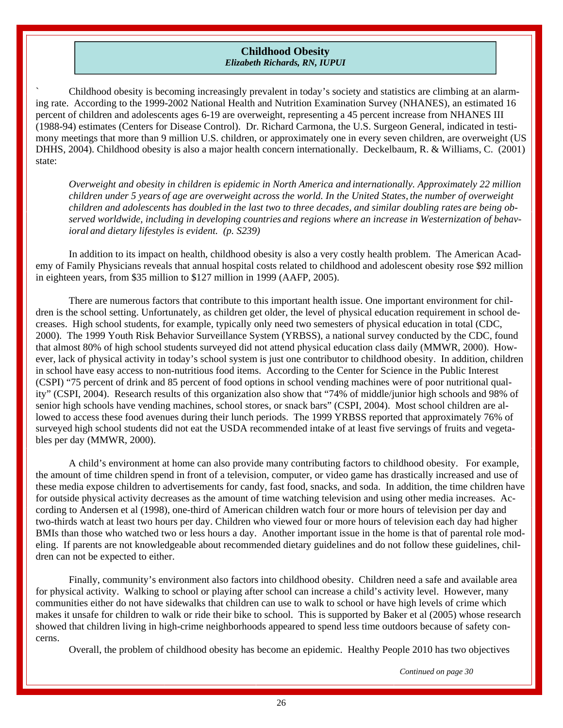#### **Childhood Obesity**  *Elizabeth Richards, RN, IUPUI*

<span id="page-25-0"></span>` Childhood obesity is becoming increasingly prevalent in today's society and statistics are climbing at an alarming rate. According to the 1999-2002 National Health and Nutrition Examination Survey (NHANES), an estimated 16 percent of children and adolescents ages 6-19 are overweight, representing a 45 percent increase from NHANES III (1988-94) estimates (Centers for Disease Control). Dr. Richard Carmona, the U.S. Surgeon General, indicated in testimony meetings that more than 9 million U.S. children, or approximately one in every seven children, are overweight (US DHHS, 2004). Childhood obesity is also a major health concern internationally. Deckelbaum, R. & Williams, C. (2001) state:

*Overweight and obesity in children is epidemic in North America and internationally. Approximately 22 million children under 5 years of age are overweight across the world. In the United States, the number of overweight children and adolescents has doubled in the last two to three decades, and similar doubling rates are being observed worldwide, including in developing countries and regions where an increase in Westernization of behavioral and dietary lifestyles is evident. (p. S239)* 

 In addition to its impact on health, childhood obesity is also a very costly health problem. The American Academy of Family Physicians reveals that annual hospital costs related to childhood and adolescent obesity rose \$92 million in eighteen years, from \$35 million to \$127 million in 1999 (AAFP, 2005).

 There are numerous factors that contribute to this important health issue. One important environment for children is the school setting. Unfortunately, as children get older, the level of physical education requirement in school decreases. High school students, for example, typically only need two semesters of physical education in total (CDC, 2000). The 1999 Youth Risk Behavior Surveillance System (YRBSS), a national survey conducted by the CDC, found that almost 80% of high school students surveyed did not attend physical education class daily (MMWR, 2000). However, lack of physical activity in today's school system is just one contributor to childhood obesity. In addition, children in school have easy access to non-nutritious food items. According to the Center for Science in the Public Interest (CSPI) "75 percent of drink and 85 percent of food options in school vending machines were of poor nutritional quality" (CSPI, 2004). Research results of this organization also show that "74% of middle/junior high schools and 98% of senior high schools have vending machines, school stores, or snack bars" (CSPI, 2004). Most school children are allowed to access these food avenues during their lunch periods. The 1999 YRBSS reported that approximately 76% of surveyed high school students did not eat the USDA recommended intake of at least five servings of fruits and vegetables per day (MMWR, 2000).

 A child's environment at home can also provide many contributing factors to childhood obesity. For example, the amount of time children spend in front of a television, computer, or video game has drastically increased and use of these media expose children to advertisements for candy, fast food, snacks, and soda. In addition, the time children have for outside physical activity decreases as the amount of time watching television and using other media increases. According to Andersen et al (1998), one-third of American children watch four or more hours of television per day and two-thirds watch at least two hours per day. Children who viewed four or more hours of television each day had higher BMIs than those who watched two or less hours a day. Another important issue in the home is that of parental role modeling. If parents are not knowledgeable about recommended dietary guidelines and do not follow these guidelines, children can not be expected to either.

 Finally, community's environment also factors into childhood obesity. Children need a safe and available area for physical activity. Walking to school or playing after school can increase a child's activity level. However, many communities either do not have sidewalks that children can use to walk to school or have high levels of crime which makes it unsafe for children to walk or ride their bike to school. This is supported by Baker et al (2005) whose research showed that children living in high-crime neighborhoods appeared to spend less time outdoors because of safety concerns.

Overall, the problem of childhood obesity has become an epidemic. Healthy People 2010 has two objectives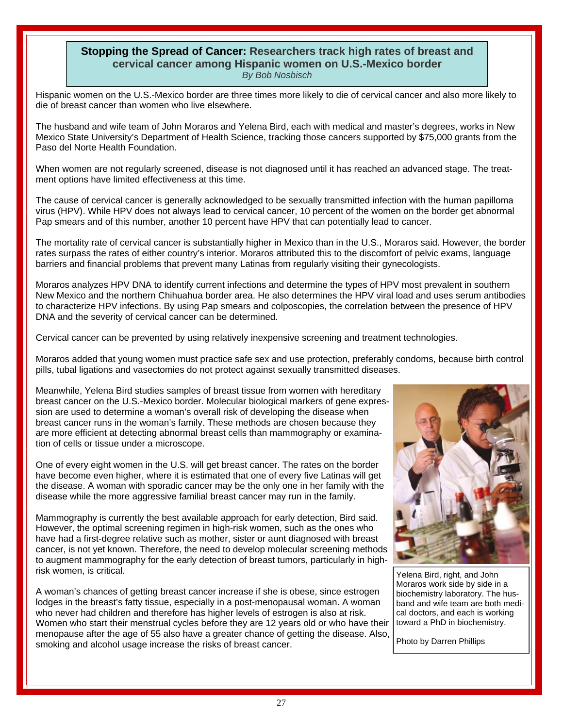#### <span id="page-26-0"></span>**Stopping the Spread of Cancer: Researchers track high rates of breast and cervical cancer among Hispanic women on U.S.-Mexico border**  *By Bob Nosbisch*

Hispanic women on the U.S.-Mexico border are three times more likely to die of cervical cancer and also more likely to die of breast cancer than women who live elsewhere.

The husband and wife team of John Moraros and Yelena Bird, each with medical and master's degrees, works in New Mexico State University's Department of Health Science, tracking those cancers supported by \$75,000 grants from the Paso del Norte Health Foundation.

When women are not regularly screened, disease is not diagnosed until it has reached an advanced stage. The treatment options have limited effectiveness at this time.

The cause of cervical cancer is generally acknowledged to be sexually transmitted infection with the human papilloma virus (HPV). While HPV does not always lead to cervical cancer, 10 percent of the women on the border get abnormal Pap smears and of this number, another 10 percent have HPV that can potentially lead to cancer.

The mortality rate of cervical cancer is substantially higher in Mexico than in the U.S., Moraros said. However, the border rates surpass the rates of either country's interior. Moraros attributed this to the discomfort of pelvic exams, language barriers and financial problems that prevent many Latinas from regularly visiting their gynecologists.

Moraros analyzes HPV DNA to identify current infections and determine the types of HPV most prevalent in southern New Mexico and the northern Chihuahua border area. He also determines the HPV viral load and uses serum antibodies to characterize HPV infections. By using Pap smears and colposcopies, the correlation between the presence of HPV DNA and the severity of cervical cancer can be determined.

Cervical cancer can be prevented by using relatively inexpensive screening and treatment technologies.

Moraros added that young women must practice safe sex and use protection, preferably condoms, because birth control pills, tubal ligations and vasectomies do not protect against sexually transmitted diseases.

Meanwhile, Yelena Bird studies samples of breast tissue from women with hereditary breast cancer on the U.S.-Mexico border. Molecular biological markers of gene expression are used to determine a woman's overall risk of developing the disease when breast cancer runs in the woman's family. These methods are chosen because they are more efficient at detecting abnormal breast cells than mammography or examination of cells or tissue under a microscope.

One of every eight women in the U.S. will get breast cancer. The rates on the border have become even higher, where it is estimated that one of every five Latinas will get the disease. A woman with sporadic cancer may be the only one in her family with the disease while the more aggressive familial breast cancer may run in the family.

Mammography is currently the best available approach for early detection, Bird said. However, the optimal screening regimen in high-risk women, such as the ones who have had a first-degree relative such as mother, sister or aunt diagnosed with breast cancer, is not yet known. Therefore, the need to develop molecular screening methods to augment mammography for the early detection of breast tumors, particularly in highrisk women, is critical.

A woman's chances of getting breast cancer increase if she is obese, since estrogen lodges in the breast's fatty tissue, especially in a post-menopausal woman. A woman who never had children and therefore has higher levels of estrogen is also at risk. Women who start their menstrual cycles before they are 12 years old or who have their menopause after the age of 55 also have a greater chance of getting the disease. Also, smoking and alcohol usage increase the risks of breast cancer.



Yelena Bird, right, and John Moraros work side by side in a biochemistry laboratory. The husband and wife team are both medical doctors, and each is working toward a PhD in biochemistry.

Photo by Darren Phillips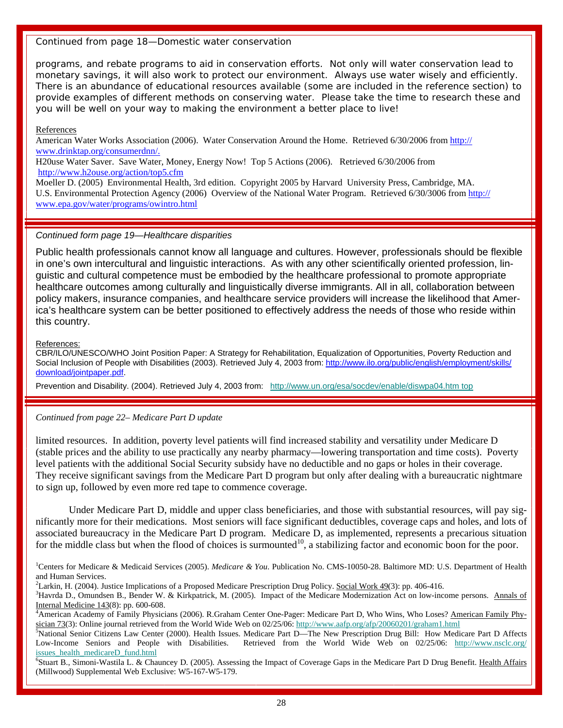#### *Continued from page 18—Domestic water conservation*

programs, and rebate programs to aid in conservation efforts. Not only will water conservation lead to monetary savings, it will also work to protect our environment. Always use water wisely and efficiently. There is an abundance of educational resources available (some are included in the reference section) to provide examples of different methods on conserving water. Please take the time to research these and you will be well on your way to making the environment a better place to live!

#### References

American Water Works Association (2006). Water Conservation Around the Home. Retrieved 6/30/2006 from http:// www.drinktap.org/consumerdnn/.

H20use Water Saver. Save Water, Money, Energy Now! Top 5 Actions (2006). Retrieved 6/30/2006 from http://www.h2ouse.org/action/top5.cfm

Moeller D. (2005) Environmental Health, 3rd edition. Copyright 2005 by Harvard University Press, Cambridge, MA. U.S. Environmental Protection Agency (2006) Overview of the National Water Program. Retrieved 6/30/3006 from http:// www.epa.gov/water/programs/owintro.html

#### *Continued form page 19—Healthcare disparities*

Public health professionals cannot know all language and cultures. However, professionals should be flexible in one's own intercultural and linguistic interactions. As with any other scientifically oriented profession, linguistic and cultural competence must be embodied by the healthcare professional to promote appropriate healthcare outcomes among culturally and linguistically diverse immigrants. All in all, collaboration between policy makers, insurance companies, and healthcare service providers will increase the likelihood that America's healthcare system can be better positioned to effectively address the needs of those who reside within this country.

References:

CBR/ILO/UNESCO/WHO Joint Position Paper: A Strategy for Rehabilitation, Equalization of Opportunities, Poverty Reduction and Social Inclusion of People with Disabilities (2003). Retrieved July 4, 2003 from: http://www.ilo.org/public/english/employment/skills/ download/jointpaper.pdf.

Prevention and Disability. (2004). Retrieved July 4, 2003 from: http://www.un.org/esa/socdev/enable/diswpa04.htm top

#### *Continued from page 22– Medicare Part D update*

limited resources. In addition, poverty level patients will find increased stability and versatility under Medicare D (stable prices and the ability to use practically any nearby pharmacy—lowering transportation and time costs). Poverty level patients with the additional Social Security subsidy have no deductible and no gaps or holes in their coverage. They receive significant savings from the Medicare Part D program but only after dealing with a bureaucratic nightmare to sign up, followed by even more red tape to commence coverage.

 Under Medicare Part D, middle and upper class beneficiaries, and those with substantial resources, will pay significantly more for their medications. Most seniors will face significant deductibles, coverage caps and holes, and lots of associated bureaucracy in the Medicare Part D program. Medicare D, as implemented, represents a precarious situation for the middle class but when the flood of choices is surmounted<sup>10</sup>, a stabilizing factor and economic boon for the poor.

<sup>1</sup>Centers for Medicare & Medicaid Services (2005). *Medicare & You*. Publication No. CMS-10050-28. Baltimore MD: U.S. Department of Health and Human Services.

<sup>2</sup> Larkin, H. (2004). Justice Implications of a Proposed Medicare Prescription Drug Policy. <u>Social Work 49</u>(3): pp. 406-416.  $\frac{3}{1}$ 

<sup>3</sup>Havrda D., Omundsen B., Bender W. & Kirkpatrick, M. (2005). Impact of the Medicare Modernization Act on low-income persons. Annals of Internal Medicine 143(8): pp. 600-608.

American Academy of Family Physicians (2006). R.Graham Center One-Pager: Medicare Part D, Who Wins, Who Loses? American Family Physician 73(3): Online journal retrieved from the World Wide Web on  $02/25/06$ : http://www.aafp.org/afp/20060201/graham1.html

<sup>5</sup>National Senior Citizens Law Center (2000). Health Issues. Medicare Part D—The New Prescription Drug Bill: How Medicare Part D Affects Low-Income Seniors and People with Disabilities. Retrieved from the World Wide Web on 02/25/06: http://www.nsclc.org/ issues\_health\_medicareD\_fund.html

<sup>6</sup>Stuart B., Simoni-Wastila L. & Chauncey D. (2005). Assessing the Impact of Coverage Gaps in the Medicare Part D Drug Benefit. Health Affairs (Millwood) Supplemental Web Exclusive: W5-167-W5-179.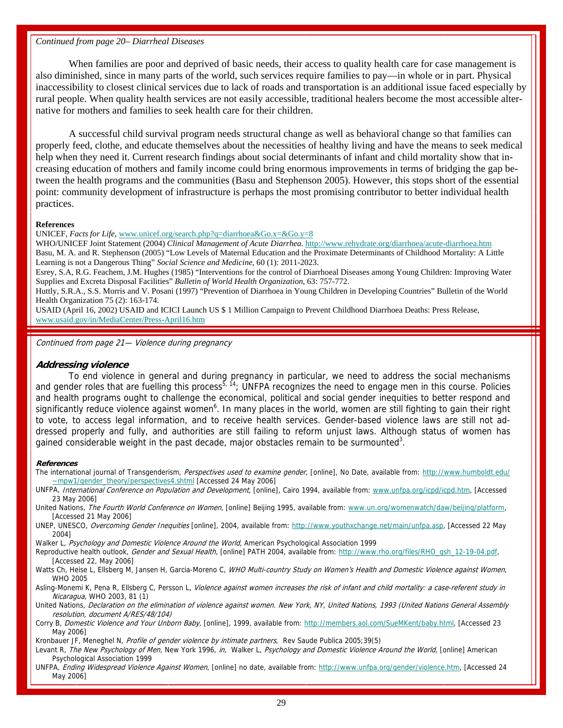#### *Continued from page 20– Diarrheal Diseases*

 When families are poor and deprived of basic needs, their access to quality health care for case management is also diminished, since in many parts of the world, such services require families to pay—in whole or in part. Physical inaccessibility to closest clinical services due to lack of roads and transportation is an additional issue faced especially by rural people. When quality health services are not easily accessible, traditional healers become the most accessible alternative for mothers and families to seek health care for their children.

 A successful child survival program needs structural change as well as behavioral change so that families can properly feed, clothe, and educate themselves about the necessities of healthy living and have the means to seek medical help when they need it. Current research findings about social determinants of infant and child mortality show that increasing education of mothers and family income could bring enormous improvements in terms of bridging the gap between the health programs and the communities (Basu and Stephenson 2005). However, this stops short of the essential point: community development of infrastructure is perhaps the most promising contributor to better individual health practices.

#### **References**

UNICEF, *Facts for Life*, www.unicef.org/search.php?q=diarrhoea&Go.x=&Go.y=8

WHO/UNICEF Joint Statement (2004) *Clinical Management of Acute Diarrhea*. http://www.rehydrate.org/diarrhoea/acute-diarrhoea.htm Basu, M. A. and R. Stephenson (2005) "Low Levels of Maternal Education and the Proximate Determinants of Childhood Mortality: A Little Learning is not a Dangerous Thing" *Social Science and Medicine*, 60 (1): 2011-2023.

Esrey, S.A, R.G. Feachem, J.M. Hughes (1985) "Interventions for the control of Diarrhoeal Diseases among Young Children: Improving Water Supplies and Excreta Disposal Facilities" *Bulletin of World Health Organization*, 63: 757-772.

Huttly, S.R.A., S.S. Morris and V. Posani (1997) "Prevention of Diarrhoea in Young Children in Developing Countries" Bulletin of the World Health Organization 75 (2): 163-174.

USAID (April 16, 2002) USAID and ICICI Launch US \$ 1 Million Campaign to Prevent Childhood Diarrhoea Deaths: Press Release, www.usaid.gov/in/MediaCenter/Press-April16.htm

Continued from page 21— Violence during pregnancy

#### **Addressing violence**

 To end violence in general and during pregnancy in particular, we need to address the social mechanisms and gender roles that are fuelling this process<sup>5, 14</sup>; UNFPA recognizes the need to engage men in this course. Policies and health programs ought to challenge the economical, political and social gender inequities to better respond and significantly reduce violence against women<sup>6</sup>. In many places in the world, women are still fighting to gain their right to vote, to access legal information, and to receive health services. Gender-based violence laws are still not addressed properly and fully, and authorities are still failing to reform unjust laws. Although status of women has gained considerable weight in the past decade, major obstacles remain to be surmounted<sup>3</sup>.

#### **References**

The international journal of Transgenderism, *Perspectives used to examine gender*, [online], No Date, available from: http://www.humboldt.edu/ ~mpw1/gender\_theory/perspectives4.shtml [Accessed 24 May 2006]

UNFPA, International Conference on Population and Development, [online], Cairo 1994, available from: www.unfpa.org/icpd/icpd.htm, [Accessed 23 May 2006]

United Nations, The Fourth World Conference on Women, [online] Beijing 1995, available from: www.un.org/womenwatch/daw/beijing/platform, [Accessed 21 May 2006]

UNEP, UNESCO, Overcoming Gender Inequities [online], 2004, available from: http://www.youthxchange.net/main/unfpa.asp, [Accessed 22 May 2004]

Walker L, Psychology and Domestic Violence Around the World, American Psychological Association 1999

Reproductive health outlook, Gender and Sexual Health, [online] PATH 2004, available from: http://www.rho.org/files/RHO\_gsh\_12-19-04.pdf, [Accessed 22, May 2006]

Watts Ch, Heise L, Ellsberg M, Jansen H, Garcia-Moreno C, WHO Multi-country Study on Women's Health and Domestic Violence against Women, WHO 2005

Asling-Monemi K, Pena R, Ellsberg C, Persson L, Violence against women increases the risk of infant and child mortality: a case-referent study in Nicaragua, WHO 2003, 81 (1)

United Nations, Declaration on the elimination of violence against women. New York, NY, United Nations, 1993 (United Nations General Assembly resolution, document A/RES/48/104)

Corry B, Domestic Violence and Your Unborn Baby, [online], 1999, available from: http://members.aol.com/SueMKent/baby.html, [Accessed 23 May 2006]

Kronbauer JF, Meneghel N, Profile of gender violence by intimate partners, Rev Saude Publica 2005;39(5)

Levant R, The New Psychology of Men, New York 1996, in, Walker L, Psychology and Domestic Violence Around the World, [online] American Psychological Association 1999

UNFPA, Ending Widespread Violence Against Women, [online] no date, available from: http://www.unfpa.org/gender/violence.htm, [Accessed 24 May 2006]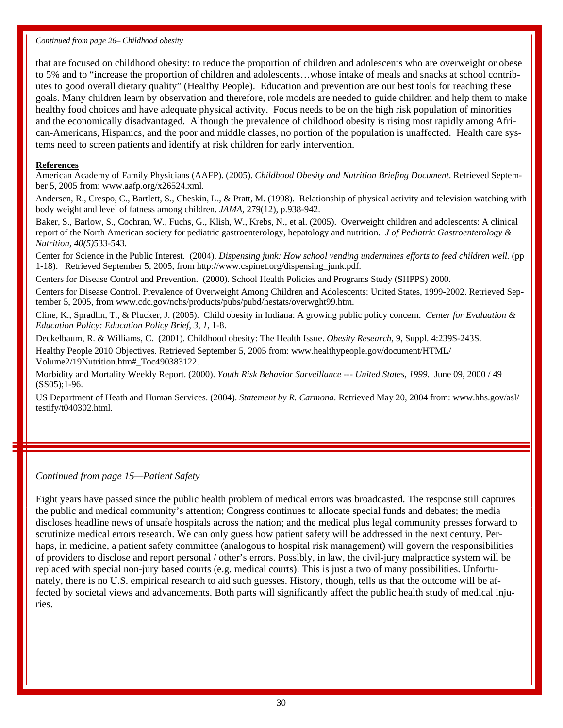#### *Continued from page 26– Childhood obesity*

that are focused on childhood obesity: to reduce the proportion of children and adolescents who are overweight or obese to 5% and to "increase the proportion of children and adolescents…whose intake of meals and snacks at school contributes to good overall dietary quality" (Healthy People). Education and prevention are our best tools for reaching these goals. Many children learn by observation and therefore, role models are needed to guide children and help them to make healthy food choices and have adequate physical activity. Focus needs to be on the high risk population of minorities and the economically disadvantaged. Although the prevalence of childhood obesity is rising most rapidly among African-Americans, Hispanics, and the poor and middle classes, no portion of the population is unaffected. Health care systems need to screen patients and identify at risk children for early intervention.

#### **References**

American Academy of Family Physicians (AAFP). (2005). *Childhood Obesity and Nutrition Briefing Document*. Retrieved September 5, 2005 from: www.aafp.org/x26524.xml.

Andersen, R., Crespo, C., Bartlett, S., Cheskin, L., & Pratt, M. (1998). Relationship of physical activity and television watching with body weight and level of fatness among children. *JAMA*, 279(12), p.938-942.

Baker, S., Barlow, S., Cochran, W., Fuchs, G., Klish, W., Krebs, N., et al. (2005). Overweight children and adolescents: A clinical report of the North American society for pediatric gastroenterology, hepatology and nutrition. *J of Pediatric Gastroenterology & Nutrition, 40(5)*533-543*.*

Center for Science in the Public Interest. (2004). *Dispensing junk: How school vending undermines efforts to feed children well.* (pp 1-18). Retrieved September 5, 2005, from http://www.cspinet.org/dispensing\_junk.pdf.

Centers for Disease Control and Prevention. (2000). School Health Policies and Programs Study (SHPPS) 2000.

Centers for Disease Control. Prevalence of Overweight Among Children and Adolescents: United States, 1999-2002. Retrieved September 5, 2005, from www.cdc.gov/nchs/products/pubs/pubd/hestats/overwght99.htm.

Cline, K., Spradlin, T., & Plucker, J. (2005). Child obesity in Indiana: A growing public policy concern. *Center for Evaluation & Education Policy: Education Policy Brief, 3, 1,* 1-8.

Deckelbaum, R. & Williams, C. (2001). Childhood obesity: The Health Issue. *Obesity Research,* 9, Suppl. 4:239S-243S. Healthy People 2010 Objectives. Retrieved September 5, 2005 from: www.healthypeople.gov/document/HTML/ Volume2/19Nutrition.htm#\_Toc490383122.

Morbidity and Mortality Weekly Report. (2000). *Youth Risk Behavior Surveillance --- United States, 1999*. June 09, 2000 / 49 (SS05);1-96.

US Department of Heath and Human Services. (2004). *Statement by R. Carmona*. Retrieved May 20, 2004 from: www.hhs.gov/asl/ testify/t040302.html.

#### *Continued from page 15—Patient Safety*

Eight years have passed since the public health problem of medical errors was broadcasted. The response still captures the public and medical community's attention; Congress continues to allocate special funds and debates; the media discloses headline news of unsafe hospitals across the nation; and the medical plus legal community presses forward to scrutinize medical errors research. We can only guess how patient safety will be addressed in the next century. Perhaps, in medicine, a patient safety committee (analogous to hospital risk management) will govern the responsibilities of providers to disclose and report personal / other's errors. Possibly, in law, the civil-jury malpractice system will be replaced with special non-jury based courts (e.g. medical courts). This is just a two of many possibilities. Unfortunately, there is no U.S. empirical research to aid such guesses. History, though, tells us that the outcome will be affected by societal views and advancements. Both parts will significantly affect the public health study of medical injuries.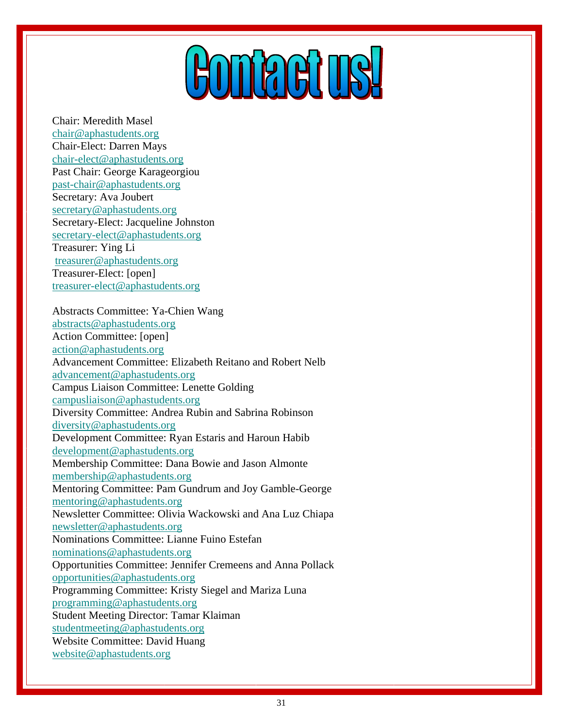# **HOMPARITS!**

<span id="page-30-0"></span>Chair: Meredith Masel chair@aphastudents.org Chair-Elect: Darren Mays chair-elect@aphastudents.org Past Chair: George Karageorgiou past-chair@aphastudents.org Secretary: Ava Joubert secretary@aphastudents.org Secretary-Elect: Jacqueline Johnston secretary-elect@aphastudents.org Treasurer: Ying Li treasurer@aphastudents.org Treasurer-Elect: [open] treasurer-elect@aphastudents.org

Abstracts Committee: Ya-Chien Wang abstracts@aphastudents.org Action Committee: [open] action@aphastudents.org Advancement Committee: Elizabeth Reitano and Robert Nelb advancement@aphastudents.org Campus Liaison Committee: Lenette Golding campusliaison@aphastudents.org Diversity Committee: Andrea Rubin and Sabrina Robinson diversity@aphastudents.org Development Committee: Ryan Estaris and Haroun Habib development@aphastudents.org Membership Committee: Dana Bowie and Jason Almonte membership@aphastudents.org Mentoring Committee: Pam Gundrum and Joy Gamble-George mentoring@aphastudents.org Newsletter Committee: Olivia Wackowski and Ana Luz Chiapa newsletter@aphastudents.org Nominations Committee: Lianne Fuino Estefan nominations@aphastudents.org Opportunities Committee: Jennifer Cremeens and Anna Pollack opportunities@aphastudents.org Programming Committee: Kristy Siegel and Mariza Luna programming@aphastudents.org Student Meeting Director: Tamar Klaiman studentmeeting@aphastudents.org Website Committee: David Huang website@aphastudents.org